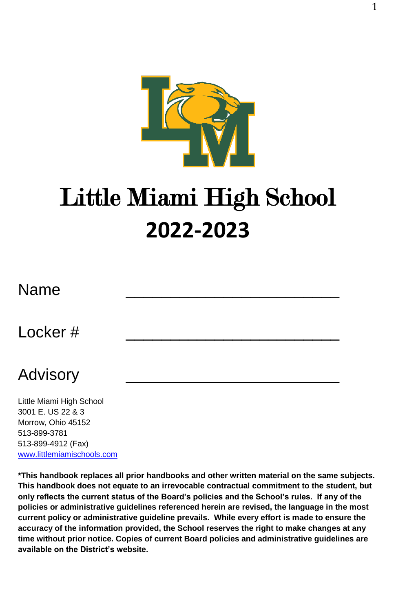

# Little Miami High School **2022-2023**

# Name \_\_\_\_\_\_\_\_\_\_\_\_\_\_\_\_\_\_\_\_\_\_\_\_

# Locker # \_\_\_\_\_\_\_\_\_\_\_\_\_\_\_\_\_\_\_\_\_\_\_\_

# Advisory \_\_\_\_\_\_\_\_\_\_\_\_\_\_\_\_\_\_\_\_\_\_\_\_

Little Miami High School 3001 E. US 22 & 3 Morrow, Ohio 45152 513-899-3781 513-899-4912 (Fax) [www.littlemiamischools.com](http://www.littlemiamischools.com/)

**\*This handbook replaces all prior handbooks and other written material on the same subjects. This handbook does not equate to an irrevocable contractual commitment to the student, but only reflects the current status of the Board's policies and the School's rules. If any of the policies or administrative guidelines referenced herein are revised, the language in the most current policy or administrative guideline prevails. While every effort is made to ensure the accuracy of the information provided, the School reserves the right to make changes at any time without prior notice. Copies of current Board policies and administrative guidelines are available on the District's website.**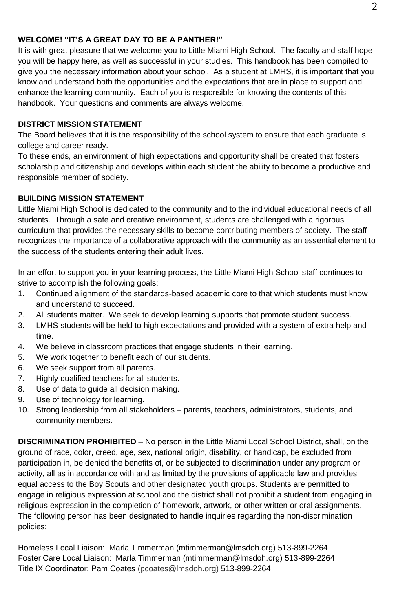#### **WELCOME! "IT'S A GREAT DAY TO BE A PANTHER!"**

It is with great pleasure that we welcome you to Little Miami High School. The faculty and staff hope you will be happy here, as well as successful in your studies. This handbook has been compiled to give you the necessary information about your school. As a student at LMHS, it is important that you know and understand both the opportunities and the expectations that are in place to support and enhance the learning community. Each of you is responsible for knowing the contents of this handbook. Your questions and comments are always welcome.

#### **DISTRICT MISSION STATEMENT**

The Board believes that it is the responsibility of the school system to ensure that each graduate is college and career ready.

To these ends, an environment of high expectations and opportunity shall be created that fosters scholarship and citizenship and develops within each student the ability to become a productive and responsible member of society.

#### **BUILDING MISSION STATEMENT**

Little Miami High School is dedicated to the community and to the individual educational needs of all students. Through a safe and creative environment, students are challenged with a rigorous curriculum that provides the necessary skills to become contributing members of society. The staff recognizes the importance of a collaborative approach with the community as an essential element to the success of the students entering their adult lives.

In an effort to support you in your learning process, the Little Miami High School staff continues to strive to accomplish the following goals:

- 1. Continued alignment of the standards-based academic core to that which students must know and understand to succeed.
- 2. All students matter. We seek to develop learning supports that promote student success.
- 3. LMHS students will be held to high expectations and provided with a system of extra help and time.
- 4. We believe in classroom practices that engage students in their learning.
- 5. We work together to benefit each of our students.
- 6. We seek support from all parents.
- 7. Highly qualified teachers for all students.
- 8. Use of data to guide all decision making.
- 9. Use of technology for learning.
- 10. Strong leadership from all stakeholders parents, teachers, administrators, students, and community members.

**DISCRIMINATION PROHIBITED** – No person in the Little Miami Local School District, shall, on the ground of race, color, creed, age, sex, national origin, disability, or handicap, be excluded from participation in, be denied the benefits of, or be subjected to discrimination under any program or activity, all as in accordance with and as limited by the provisions of applicable law and provides equal access to the Boy Scouts and other designated youth groups. Students are permitted to engage in religious expression at school and the district shall not prohibit a student from engaging in religious expression in the completion of homework, artwork, or other written or oral assignments. The following person has been designated to handle inquiries regarding the non-discrimination policies:

Homeless Local Liaison: Marla Timmerman (mtimmerman@lmsdoh.org) 513-899-2264 Foster Care Local Liaison: Marla Timmerman (mtimmerman@lmsdoh.org) 513-899-2264 Title IX Coordinator: Pam Coates [\(pcoates@lmsdoh.org\)](mailto:pcoates@lmsdoh.org) 513-899-2264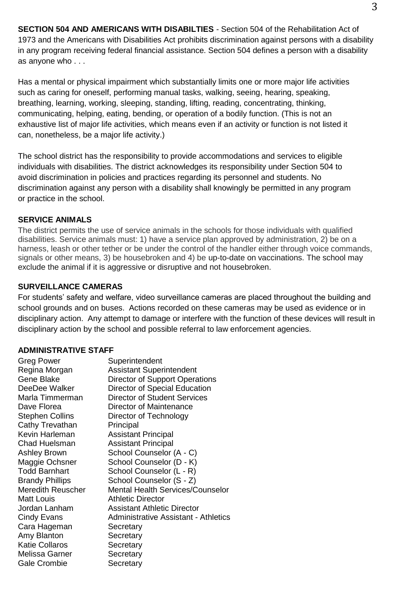**SECTION 504 AND AMERICANS WITH DISABILTIES** - Section 504 of the Rehabilitation Act of 1973 and the Americans with Disabilities Act prohibits discrimination against persons with a disability in any program receiving federal financial assistance. Section 504 defines a person with a disability as anyone who . . .

Has a mental or physical impairment which substantially limits one or more major life activities such as caring for oneself, performing manual tasks, walking, seeing, hearing, speaking, breathing, learning, working, sleeping, standing, lifting, reading, concentrating, thinking, communicating, helping, eating, bending, or operation of a bodily function. (This is not an exhaustive list of major life activities, which means even if an activity or function is not listed it can, nonetheless, be a major life activity.)

The school district has the responsibility to provide accommodations and services to eligible individuals with disabilities. The district acknowledges its responsibility under Section 504 to avoid discrimination in policies and practices regarding its personnel and students. No discrimination against any person with a disability shall knowingly be permitted in any program or practice in the school.

#### **SERVICE ANIMALS**

The district permits the use of service animals in the schools for those individuals with qualified disabilities. Service animals must: 1) have a service plan approved by administration, 2) be on a harness, leash or other tether or be under the control of the handler either through voice commands, signals or other means, 3) be housebroken and 4) be up-to-date on vaccinations. The school may exclude the animal if it is aggressive or disruptive and not housebroken.

#### **SURVEILLANCE CAMERAS**

For students' safety and welfare, video surveillance cameras are placed throughout the building and school grounds and on buses. Actions recorded on these cameras may be used as evidence or in disciplinary action. Any attempt to damage or interfere with the function of these devices will result in disciplinary action by the school and possible referral to law enforcement agencies.

#### **ADMINISTRATIVE STAFF**

| <b>Greg Power</b>      | Superintendent                       |
|------------------------|--------------------------------------|
| Regina Morgan          | Assistant Superintendent             |
| Gene Blake             | Director of Support Operations       |
| DeeDee Walker          | Director of Special Education        |
| Marla Timmerman        | Director of Student Services         |
| Dave Florea            | Director of Maintenance              |
| <b>Stephen Collins</b> | Director of Technology               |
| Cathy Trevathan        | Principal                            |
| Kevin Harleman         | <b>Assistant Principal</b>           |
| Chad Huelsman          | Assistant Principal                  |
| <b>Ashley Brown</b>    | School Counselor (A - C)             |
| Maggie Ochsner         | School Counselor (D - K)             |
| <b>Todd Barnhart</b>   | School Counselor (L - R)             |
| <b>Brandy Phillips</b> | School Counselor (S - Z)             |
| Meredith Reuscher      | Mental Health Services/Counselor     |
| Matt Louis             | Athletic Director                    |
| Jordan Lanham          | Assistant Athletic Director          |
| Cindy Evans            | Administrative Assistant - Athletics |
| Cara Hageman           | Secretary                            |
| Amy Blanton            | Secretary                            |
| <b>Katie Collaros</b>  | Secretary                            |
| Melissa Garner         | Secretary                            |
| Gale Crombie           | Secretary                            |
|                        |                                      |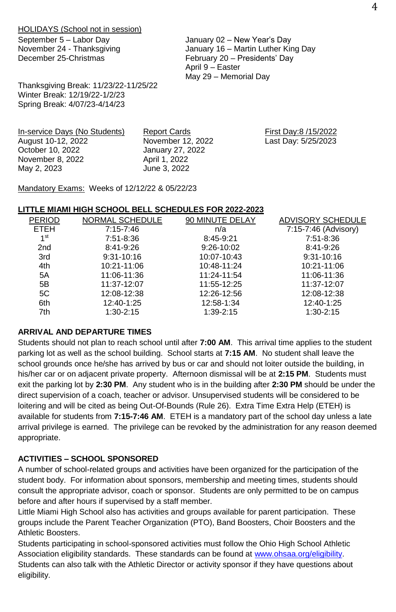HOLIDAYS (School not in session)

November 24 - Thanksgiving December 25-Christmas

Thanksgiving Break: 11/23/22-11/25/22 Winter Break: 12/19/22-1/2/23 Spring Break: 4/07/23-4/14/23

September 5 – Labor Day January 02 – New Year's Day January 16 – Martin Luther King Day February 20 – Presidents' Day April 9 – Easter May 29 – Memorial Day

In-service Days (No Students) Report Cards First Day:8 /15/2022 August 10-12, 2022 November 12, 2022 Last Day: 5/25/2023 October 10, 2022 January 27, 2022 November 8, 2022 April 1, 2022 June 3, 2022

Mandatory Exams: Weeks of 12/12/22 & 05/22/23

#### **LITTLE MIAMI HIGH SCHOOL BELL SCHEDULES FOR 2022-2023**

| NORMAL SCHEDULE | 90 MINUTE DELAY | ADVISORY SCHEDULE    |
|-----------------|-----------------|----------------------|
| 7:15-7:46       | n/a             | 7:15-7:46 (Advisory) |
| 7.51-8.36       | 8:45 9:21       | 7:51-8:36            |
| 8:41-9:26       | 9:26-10:02      | 8:41-9:26            |
| 9:31-10:16      | 10:07-10:43     | $9:31 - 10:16$       |
| 10:21-11:06     | 10:48-11:24     | 10:21-11:06          |
| 11:06 11:36     | 11:24-11:54     | 11:06-11:36          |
| 11:37-12:07     | 11:55-12:25     | 11:37-12:07          |
| 12:08-12:38     | 12:26-12:56     | 12:08-12:38          |
| 12:40 1:25      | 12:58 1:34      | 12:40 1:25           |
| 1:30-2:15       | 1:39-2:15       | 1:30-2:15            |
|                 |                 |                      |

#### **ARRIVAL AND DEPARTURE TIMES**

Students should not plan to reach school until after **7:00 AM**. This arrival time applies to the student parking lot as well as the school building. School starts at **7:15 AM**. No student shall leave the school grounds once he/she has arrived by bus or car and should not loiter outside the building, in his/her car or on adjacent private property. Afternoon dismissal will be at **2:15 PM**. Students must exit the parking lot by **2:30 PM**. Any student who is in the building after **2:30 PM** should be under the direct supervision of a coach, teacher or advisor. Unsupervised students will be considered to be loitering and will be cited as being Out-Of-Bounds (Rule 26). Extra Time Extra Help (ETEH) is available for students from **7:15-7:46 AM**. ETEH is a mandatory part of the school day unless a late arrival privilege is earned. The privilege can be revoked by the administration for any reason deemed appropriate.

# **ACTIVITIES – SCHOOL SPONSORED**

A number of school-related groups and activities have been organized for the participation of the student body. For information about sponsors, membership and meeting times, students should consult the appropriate advisor, coach or sponsor. Students are only permitted to be on campus before and after hours if supervised by a staff member.

Little Miami High School also has activities and groups available for parent participation. These groups include the Parent Teacher Organization (PTO), Band Boosters, Choir Boosters and the Athletic Boosters.

Students participating in school-sponsored activities must follow the Ohio High School Athletic Association eligibility standards. These standards can be found at www.ohsaa.org/eligibility. Students can also talk with the Athletic Director or activity sponsor if they have questions about eligibility.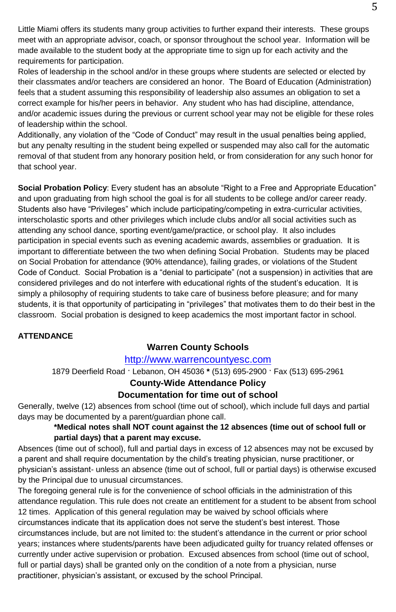Little Miami offers its students many group activities to further expand their interests. These groups meet with an appropriate advisor, coach, or sponsor throughout the school year. Information will be made available to the student body at the appropriate time to sign up for each activity and the requirements for participation.

Roles of leadership in the school and/or in these groups where students are selected or elected by their classmates and/or teachers are considered an honor. The Board of Education (Administration) feels that a student assuming this responsibility of leadership also assumes an obligation to set a correct example for his/her peers in behavior. Any student who has had discipline, attendance, and/or academic issues during the previous or current school year may not be eligible for these roles of leadership within the school.

Additionally, any violation of the "Code of Conduct" may result in the usual penalties being applied, but any penalty resulting in the student being expelled or suspended may also call for the automatic removal of that student from any honorary position held, or from consideration for any such honor for that school year.

**Social Probation Policy**: Every student has an absolute "Right to a Free and Appropriate Education" and upon graduating from high school the goal is for all students to be college and/or career ready. Students also have "Privileges" which include participating/competing in extra-curricular activities, interscholastic sports and other privileges which include clubs and/or all social activities such as attending any school dance, sporting event/game/practice, or school play. It also includes participation in special events such as evening academic awards, assemblies or graduation. It is important to differentiate between the two when defining Social Probation. Students may be placed on Social Probation for attendance (90% attendance), failing grades, or violations of the Student Code of Conduct. Social Probation is a "denial to participate" (not a suspension) in activities that are considered privileges and do not interfere with educational rights of the student's education. It is simply a philosophy of requiring students to take care of business before pleasure; and for many students, it is that opportunity of participating in "privileges" that motivates them to do their best in the classroom. Social probation is designed to keep academics the most important factor in school.

#### **ATTENDANCE**

# **Warren County Schools**

# [http://www.warrencountyesc.com](http://www.warrencountyesc.com/)

1879 Deerfield Road **ˑ** Lebanon, OH 45036 **\*** (513) 695-2900 **ˑ** Fax (513) 695-2961

# **County-Wide Attendance Policy**

# **Documentation for time out of school**

Generally, twelve (12) absences from school (time out of school), which include full days and partial days may be documented by a parent/guardian phone call.

#### **\*Medical notes shall NOT count against the 12 absences (time out of school full or partial days) that a parent may excuse.**

Absences (time out of school), full and partial days in excess of 12 absences may not be excused by a parent and shall require documentation by the child's treating physician, nurse practitioner, or physician's assistant- unless an absence (time out of school, full or partial days) is otherwise excused by the Principal due to unusual circumstances.

The foregoing general rule is for the convenience of school officials in the administration of this attendance regulation. This rule does not create an entitlement for a student to be absent from school 12 times. Application of this general regulation may be waived by school officials where circumstances indicate that its application does not serve the student's best interest. Those circumstances include, but are not limited to: the student's attendance in the current or prior school years; instances where students/parents have been adjudicated guilty for truancy related offenses or currently under active supervision or probation. Excused absences from school (time out of school, full or partial days) shall be granted only on the condition of a note from a physician, nurse practitioner, physician's assistant, or excused by the school Principal.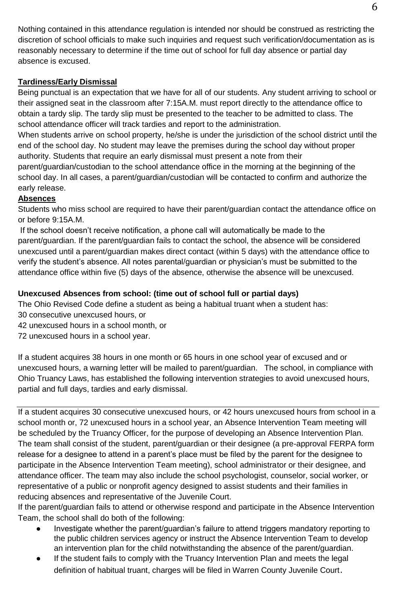Nothing contained in this attendance regulation is intended nor should be construed as restricting the discretion of school officials to make such inquiries and request such verification/documentation as is reasonably necessary to determine if the time out of school for full day absence or partial day absence is excused.

# **Tardiness/Early Dismissal**

Being punctual is an expectation that we have for all of our students. Any student arriving to school or their assigned seat in the classroom after 7:15A.M. must report directly to the attendance office to obtain a tardy slip. The tardy slip must be presented to the teacher to be admitted to class. The school attendance officer will track tardies and report to the administration.

When students arrive on school property, he/she is under the jurisdiction of the school district until the end of the school day. No student may leave the premises during the school day without proper authority. Students that require an early dismissal must present a note from their parent/guardian/custodian to the school attendance office in the morning at the beginning of the school day. In all cases, a parent/guardian/custodian will be contacted to confirm and authorize the early release.

# **Absences**

Students who miss school are required to have their parent/guardian contact the attendance office on or before 9:15A.M.

If the school doesn't receive notification, a phone call will automatically be made to the parent/guardian. If the parent/guardian fails to contact the school, the absence will be considered unexcused until a parent/guardian makes direct contact (within 5 days) with the attendance office to verify the student's absence. All notes parental/guardian or physician's must be submitted to the attendance office within five (5) days of the absence, otherwise the absence will be unexcused.

# **Unexcused Absences from school: (time out of school full or partial days)**

The Ohio Revised Code define a student as being a habitual truant when a student has:

- 30 consecutive unexcused hours, or
- 42 unexcused hours in a school month, or
- 72 unexcused hours in a school year.

If a student acquires 38 hours in one month or 65 hours in one school year of excused and or unexcused hours, a warning letter will be mailed to parent/guardian. The school, in compliance with Ohio Truancy Laws, has established the following intervention strategies to avoid unexcused hours, partial and full days, tardies and early dismissal.

If a student acquires 30 consecutive unexcused hours, or 42 hours unexcused hours from school in a school month or, 72 unexcused hours in a school year, an Absence Intervention Team meeting will be scheduled by the Truancy Officer, for the purpose of developing an Absence Intervention Plan. The team shall consist of the student, parent/guardian or their designee (a pre-approval FERPA form release for a designee to attend in a parent's place must be filed by the parent for the designee to participate in the Absence Intervention Team meeting), school administrator or their designee, and attendance officer. The team may also include the school psychologist, counselor, social worker, or representative of a public or nonprofit agency designed to assist students and their families in reducing absences and representative of the Juvenile Court.

If the parent/guardian fails to attend or otherwise respond and participate in the Absence Intervention Team, the school shall do both of the following:

- Investigate whether the parent/guardian's failure to attend triggers mandatory reporting to the public children services agency or instruct the Absence Intervention Team to develop an intervention plan for the child notwithstanding the absence of the parent/guardian.
- If the student fails to comply with the Truancy Intervention Plan and meets the legal definition of habitual truant, charges will be filed in Warren County Juvenile Court.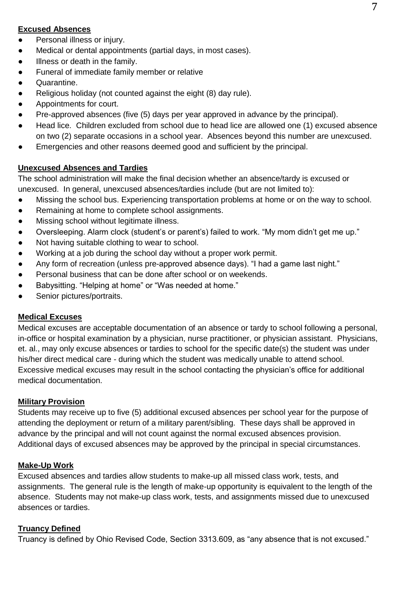#### **Excused Absences**

- Personal illness or injury.
- Medical or dental appointments (partial days, in most cases).
- Illness or death in the family.
- Funeral of immediate family member or relative
- Quarantine.
- Religious holiday (not counted against the eight (8) day rule).
- Appointments for court.
- Pre-approved absences (five (5) days per year approved in advance by the principal).
- Head lice. Children excluded from school due to head lice are allowed one (1) excused absence on two (2) separate occasions in a school year. Absences beyond this number are unexcused.
- Emergencies and other reasons deemed good and sufficient by the principal.

#### **Unexcused Absences and Tardies**

The school administration will make the final decision whether an absence/tardy is excused or unexcused. In general, unexcused absences/tardies include (but are not limited to):

- Missing the school bus. Experiencing transportation problems at home or on the way to school.
- Remaining at home to complete school assignments.
- Missing school without legitimate illness.
- Oversleeping. Alarm clock (student's or parent's) failed to work. "My mom didn't get me up."
- Not having suitable clothing to wear to school.
- Working at a job during the school day without a proper work permit.
- Any form of recreation (unless pre-approved absence days). "I had a game last night."
- Personal business that can be done after school or on weekends.
- Babysitting. "Helping at home" or "Was needed at home."
- Senior pictures/portraits.

#### **Medical Excuses**

Medical excuses are acceptable documentation of an absence or tardy to school following a personal, in-office or hospital examination by a physician, nurse practitioner, or physician assistant. Physicians, et. al., may only excuse absences or tardies to school for the specific date(s) the student was under his/her direct medical care - during which the student was medically unable to attend school. Excessive medical excuses may result in the school contacting the physician's office for additional medical documentation.

#### **Military Provision**

Students may receive up to five (5) additional excused absences per school year for the purpose of attending the deployment or return of a military parent/sibling. These days shall be approved in advance by the principal and will not count against the normal excused absences provision. Additional days of excused absences may be approved by the principal in special circumstances.

#### **Make-Up Work**

Excused absences and tardies allow students to make-up all missed class work, tests, and assignments. The general rule is the length of make-up opportunity is equivalent to the length of the absence. Students may not make-up class work, tests, and assignments missed due to unexcused absences or tardies.

#### **Truancy Defined**

Truancy is defined by Ohio Revised Code, Section 3313.609, as "any absence that is not excused."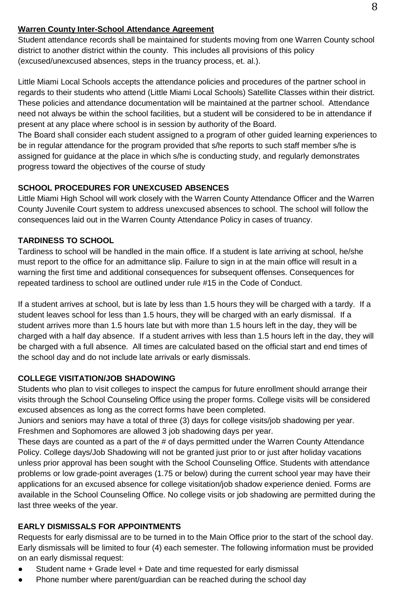#### **Warren County Inter-School Attendance Agreement**

Student attendance records shall be maintained for students moving from one Warren County school district to another district within the county. This includes all provisions of this policy (excused/unexcused absences, steps in the truancy process, et. al.).

Little Miami Local Schools accepts the attendance policies and procedures of the partner school in regards to their students who attend (Little Miami Local Schools) Satellite Classes within their district. These policies and attendance documentation will be maintained at the partner school. Attendance need not always be within the school facilities, but a student will be considered to be in attendance if present at any place where school is in session by authority of the Board.

The Board shall consider each student assigned to a program of other guided learning experiences to be in regular attendance for the program provided that s/he reports to such staff member s/he is assigned for guidance at the place in which s/he is conducting study, and regularly demonstrates progress toward the objectives of the course of study

# **SCHOOL PROCEDURES FOR UNEXCUSED ABSENCES**

Little Miami High School will work closely with the Warren County Attendance Officer and the Warren County Juvenile Court system to address unexcused absences to school. The school will follow the consequences laid out in the Warren County Attendance Policy in cases of truancy.

#### **TARDINESS TO SCHOOL**

Tardiness to school will be handled in the main office. If a student is late arriving at school, he/she must report to the office for an admittance slip. Failure to sign in at the main office will result in a warning the first time and additional consequences for subsequent offenses. Consequences for repeated tardiness to school are outlined under rule #15 in the Code of Conduct.

If a student arrives at school, but is late by less than 1.5 hours they will be charged with a tardy. If a student leaves school for less than 1.5 hours, they will be charged with an early dismissal. If a student arrives more than 1.5 hours late but with more than 1.5 hours left in the day, they will be charged with a half day absence. If a student arrives with less than 1.5 hours left in the day, they will be charged with a full absence. All times are calculated based on the official start and end times of the school day and do not include late arrivals or early dismissals.

# **COLLEGE VISITATION/JOB SHADOWING**

Students who plan to visit colleges to inspect the campus for future enrollment should arrange their visits through the School Counseling Office using the proper forms. College visits will be considered excused absences as long as the correct forms have been completed.

Juniors and seniors may have a total of three (3) days for college visits/job shadowing per year. Freshmen and Sophomores are allowed 3 job shadowing days per year.

These days are counted as a part of the # of days permitted under the Warren County Attendance Policy. College days/Job Shadowing will not be granted just prior to or just after holiday vacations unless prior approval has been sought with the School Counseling Office. Students with attendance problems or low grade-point averages (1.75 or below) during the current school year may have their applications for an excused absence for college visitation/job shadow experience denied. Forms are available in the School Counseling Office. No college visits or job shadowing are permitted during the last three weeks of the year.

# **EARLY DISMISSALS FOR APPOINTMENTS**

Requests for early dismissal are to be turned in to the Main Office prior to the start of the school day. Early dismissals will be limited to four (4) each semester. The following information must be provided on an early dismissal request:

- Student name + Grade level + Date and time requested for early dismissal
- Phone number where parent/guardian can be reached during the school day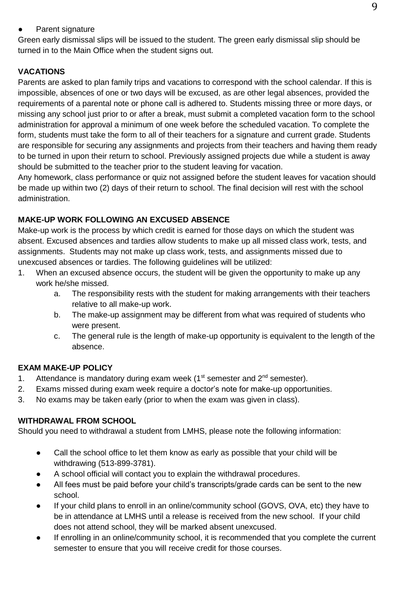#### ● Parent signature

Green early dismissal slips will be issued to the student. The green early dismissal slip should be turned in to the Main Office when the student signs out.

# **VACATIONS**

Parents are asked to plan family trips and vacations to correspond with the school calendar. If this is impossible, absences of one or two days will be excused, as are other legal absences, provided the requirements of a parental note or phone call is adhered to. Students missing three or more days, or missing any school just prior to or after a break, must submit a completed vacation form to the school administration for approval a minimum of one week before the scheduled vacation. To complete the form, students must take the form to all of their teachers for a signature and current grade. Students are responsible for securing any assignments and projects from their teachers and having them ready to be turned in upon their return to school. Previously assigned projects due while a student is away should be submitted to the teacher prior to the student leaving for vacation.

Any homework, class performance or quiz not assigned before the student leaves for vacation should be made up within two (2) days of their return to school. The final decision will rest with the school administration.

# **MAKE-UP WORK FOLLOWING AN EXCUSED ABSENCE**

Make-up work is the process by which credit is earned for those days on which the student was absent. Excused absences and tardies allow students to make up all missed class work, tests, and assignments. Students may not make up class work, tests, and assignments missed due to unexcused absences or tardies. The following guidelines will be utilized:

- 1. When an excused absence occurs, the student will be given the opportunity to make up any work he/she missed.
	- a. The responsibility rests with the student for making arrangements with their teachers relative to all make-up work.
	- b. The make-up assignment may be different from what was required of students who were present.
	- c. The general rule is the length of make-up opportunity is equivalent to the length of the absence.

# **EXAM MAKE-UP POLICY**

- 1. Attendance is mandatory during exam week ( $1<sup>st</sup>$  semester and  $2<sup>nd</sup>$  semester).
- 2. Exams missed during exam week require a doctor's note for make-up opportunities.
- 3. No exams may be taken early (prior to when the exam was given in class).

# **WITHDRAWAL FROM SCHOOL**

Should you need to withdrawal a student from LMHS, please note the following information:

- Call the school office to let them know as early as possible that your child will be withdrawing (513-899-3781).
- A school official will contact you to explain the withdrawal procedures.
- All fees must be paid before your child's transcripts/grade cards can be sent to the new school.
- If your child plans to enroll in an online/community school (GOVS, OVA, etc) they have to be in attendance at LMHS until a release is received from the new school. If your child does not attend school, they will be marked absent unexcused.
- If enrolling in an online/community school, it is recommended that you complete the current semester to ensure that you will receive credit for those courses.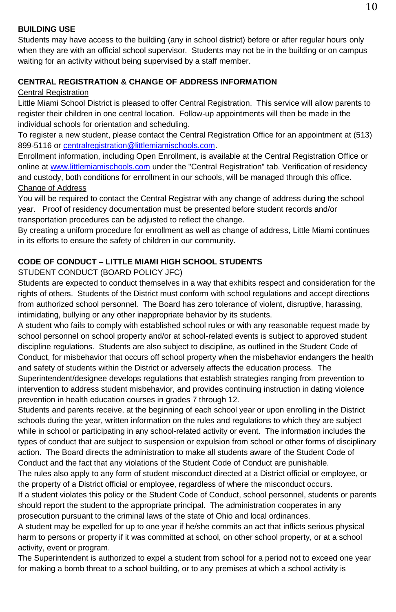#### **BUILDING USE**

Students may have access to the building (any in school district) before or after regular hours only when they are with an official school supervisor. Students may not be in the building or on campus waiting for an activity without being supervised by a staff member.

#### **CENTRAL REGISTRATION & CHANGE OF ADDRESS INFORMATION**

#### Central Registration

Little Miami School District is pleased to offer Central Registration. This service will allow parents to register their children in one central location. Follow-up appointments will then be made in the individual schools for orientation and scheduling.

To register a new student, please contact the Central Registration Office for an appointment at (513) 899-5116 o[r centralregistration@littlemiamischools.com.](mailto:centralregistration@littlemiamischools.com)

Enrollment information, including Open Enrollment, is available at the Central Registration Office or online a[t www.littlemiamischools.com](http://mail.littlemiamischools.com/owa/redir.aspx?C=552fbb81ea8e4759af3f83c445dcbb97&URL=http%3a%2f%2fwww.littlemiamischools.com) under the "Central Registration" tab. Verification of residency and custody, both conditions for enrollment in our schools, will be managed through this office. Change of Address

You will be required to contact the Central Registrar with any change of address during the school year. Proof of residency documentation must be presented before student records and/or transportation procedures can be adjusted to reflect the change.

By creating a uniform procedure for enrollment as well as change of address, Little Miami continues in its efforts to ensure the safety of children in our community.

#### **CODE OF CONDUCT – LITTLE MIAMI HIGH SCHOOL STUDENTS**

STUDENT CONDUCT (BOARD POLICY JFC)

Students are expected to conduct themselves in a way that exhibits respect and consideration for the rights of others. Students of the District must conform with school regulations and accept directions from authorized school personnel. The Board has zero tolerance of violent, disruptive, harassing, intimidating, bullying or any other inappropriate behavior by its students.

A student who fails to comply with established school rules or with any reasonable request made by school personnel on school property and/or at school-related events is subject to approved student discipline regulations. Students are also subject to discipline, as outlined in the Student Code of Conduct, for misbehavior that occurs off school property when the misbehavior endangers the health and safety of students within the District or adversely affects the education process. The Superintendent/designee develops regulations that establish strategies ranging from prevention to intervention to address student misbehavior, and provides continuing instruction in dating violence prevention in health education courses in grades 7 through 12.

Students and parents receive, at the beginning of each school year or upon enrolling in the District schools during the year, written information on the rules and regulations to which they are subject while in school or participating in any school-related activity or event. The information includes the types of conduct that are subject to suspension or expulsion from school or other forms of disciplinary action. The Board directs the administration to make all students aware of the Student Code of Conduct and the fact that any violations of the Student Code of Conduct are punishable.

The rules also apply to any form of student misconduct directed at a District official or employee, or the property of a District official or employee, regardless of where the misconduct occurs.

If a student violates this policy or the Student Code of Conduct, school personnel, students or parents should report the student to the appropriate principal. The administration cooperates in any prosecution pursuant to the criminal laws of the state of Ohio and local ordinances.

A student may be expelled for up to one year if he/she commits an act that inflicts serious physical harm to persons or property if it was committed at school, on other school property, or at a school activity, event or program.

The Superintendent is authorized to expel a student from school for a period not to exceed one year for making a bomb threat to a school building, or to any premises at which a school activity is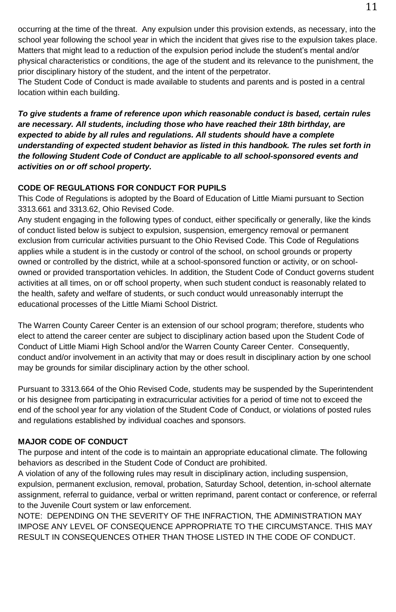occurring at the time of the threat. Any expulsion under this provision extends, as necessary, into the school year following the school year in which the incident that gives rise to the expulsion takes place. Matters that might lead to a reduction of the expulsion period include the student's mental and/or physical characteristics or conditions, the age of the student and its relevance to the punishment, the prior disciplinary history of the student, and the intent of the perpetrator.

The Student Code of Conduct is made available to students and parents and is posted in a central location within each building.

*To give students a frame of reference upon which reasonable conduct is based, certain rules are necessary. All students, including those who have reached their 18th birthday, are expected to abide by all rules and regulations. All students should have a complete understanding of expected student behavior as listed in this handbook. The rules set forth in the following Student Code of Conduct are applicable to all school-sponsored events and activities on or off school property.*

# **CODE OF REGULATIONS FOR CONDUCT FOR PUPILS**

This Code of Regulations is adopted by the Board of Education of Little Miami pursuant to Section 3313.661 and 3313.62, Ohio Revised Code.

Any student engaging in the following types of conduct, either specifically or generally, like the kinds of conduct listed below is subject to expulsion, suspension, emergency removal or permanent exclusion from curricular activities pursuant to the Ohio Revised Code. This Code of Regulations applies while a student is in the custody or control of the school, on school grounds or property owned or controlled by the district, while at a school-sponsored function or activity, or on schoolowned or provided transportation vehicles. In addition, the Student Code of Conduct governs student activities at all times, on or off school property, when such student conduct is reasonably related to the health, safety and welfare of students, or such conduct would unreasonably interrupt the educational processes of the Little Miami School District.

The Warren County Career Center is an extension of our school program; therefore, students who elect to attend the career center are subject to disciplinary action based upon the Student Code of Conduct of Little Miami High School and/or the Warren County Career Center. Consequently, conduct and/or involvement in an activity that may or does result in disciplinary action by one school may be grounds for similar disciplinary action by the other school.

Pursuant to 3313.664 of the Ohio Revised Code, students may be suspended by the Superintendent or his designee from participating in extracurricular activities for a period of time not to exceed the end of the school year for any violation of the Student Code of Conduct, or violations of posted rules and regulations established by individual coaches and sponsors.

# **MAJOR CODE OF CONDUCT**

The purpose and intent of the code is to maintain an appropriate educational climate. The following behaviors as described in the Student Code of Conduct are prohibited.

A violation of any of the following rules may result in disciplinary action, including suspension, expulsion, permanent exclusion, removal, probation, Saturday School, detention, in-school alternate assignment, referral to guidance, verbal or written reprimand, parent contact or conference, or referral to the Juvenile Court system or law enforcement.

NOTE: DEPENDING ON THE SEVERITY OF THE INFRACTION, THE ADMINISTRATION MAY IMPOSE ANY LEVEL OF CONSEQUENCE APPROPRIATE TO THE CIRCUMSTANCE. THIS MAY RESULT IN CONSEQUENCES OTHER THAN THOSE LISTED IN THE CODE OF CONDUCT.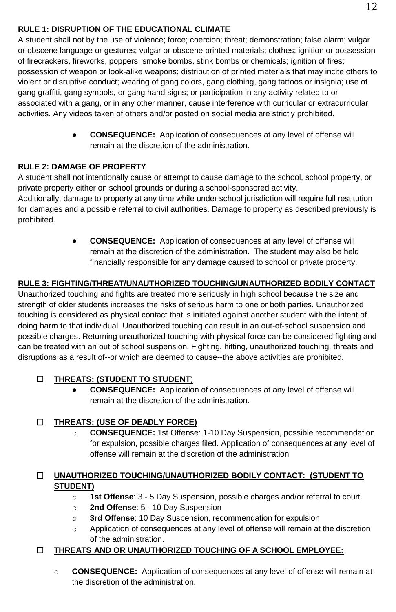# **RULE 1: DISRUPTION OF THE EDUCATIONAL CLIMATE**

A student shall not by the use of violence; force; coercion; threat; demonstration; false alarm; vulgar or obscene language or gestures; vulgar or obscene printed materials; clothes; ignition or possession of firecrackers, fireworks, poppers, smoke bombs, stink bombs or chemicals; ignition of fires; possession of weapon or look-alike weapons; distribution of printed materials that may incite others to violent or disruptive conduct; wearing of gang colors, gang clothing, gang tattoos or insignia; use of gang graffiti, gang symbols, or gang hand signs; or participation in any activity related to or associated with a gang, or in any other manner, cause interference with curricular or extracurricular activities. Any videos taken of others and/or posted on social media are strictly prohibited.

> ● **CONSEQUENCE:** Application of consequences at any level of offense will remain at the discretion of the administration.

# **RULE 2: DAMAGE OF PROPERTY**

A student shall not intentionally cause or attempt to cause damage to the school, school property, or private property either on school grounds or during a school-sponsored activity.

Additionally, damage to property at any time while under school jurisdiction will require full restitution for damages and a possible referral to civil authorities. Damage to property as described previously is prohibited.

> ● **CONSEQUENCE:** Application of consequences at any level of offense will remain at the discretion of the administration. The student may also be held financially responsible for any damage caused to school or private property.

# **RULE 3: FIGHTING/THREAT/UNAUTHORIZED TOUCHING/UNAUTHORIZED BODILY CONTACT**

Unauthorized touching and fights are treated more seriously in high school because the size and strength of older students increases the risks of serious harm to one or both parties. Unauthorized touching is considered as physical contact that is initiated against another student with the intent of doing harm to that individual. Unauthorized touching can result in an out-of-school suspension and possible charges. Returning unauthorized touching with physical force can be considered fighting and can be treated with an out of school suspension. Fighting, hitting, unauthorized touching, threats and disruptions as a result of--or which are deemed to cause--the above activities are prohibited.

# **THREATS: (STUDENT TO STUDENT**)

**CONSEQUENCE:** Application of consequences at any level of offense will remain at the discretion of the administration.

# **THREATS: (USE OF DEADLY FORCE)**

o **CONSEQUENCE:** 1st Offense: 1-10 Day Suspension, possible recommendation for expulsion, possible charges filed. Application of consequences at any level of offense will remain at the discretion of the administration.

# **UNAUTHORIZED TOUCHING/UNAUTHORIZED BODILY CONTACT: (STUDENT TO STUDENT)**

- o **1st Offense**: 3 5 Day Suspension, possible charges and/or referral to court.
- o **2nd Offense**: 5 10 Day Suspension
- o **3rd Offense**: 10 Day Suspension, recommendation for expulsion
- o Application of consequences at any level of offense will remain at the discretion of the administration.

# **THREATS AND OR UNAUTHORIZED TOUCHING OF A SCHOOL EMPLOYEE:**

o **CONSEQUENCE:** Application of consequences at any level of offense will remain at the discretion of the administration.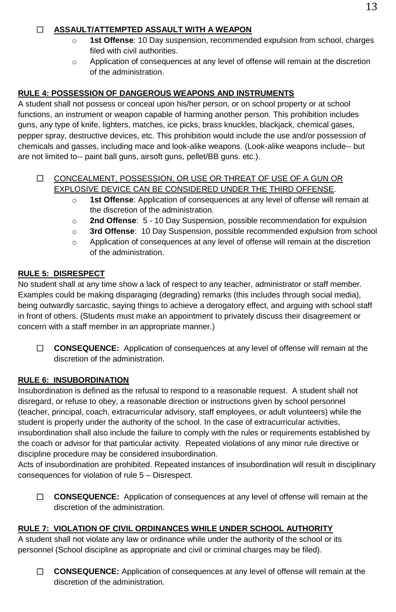# **ASSAULT/ATTEMPTED ASSAULT WITH A WEAPON**

- o **1st Offense**: 10 Day suspension, recommended expulsion from school, charges filed with civil authorities.
- o Application of consequences at any level of offense will remain at the discretion of the administration.

#### **RULE 4: POSSESSION OF DANGEROUS WEAPONS AND INSTRUMENTS**

A student shall not possess or conceal upon his/her person, or on school property or at school functions, an instrument or weapon capable of harming another person. This prohibition includes guns, any type of knife, lighters, matches, ice picks, brass knuckles, blackjack, chemical gases, pepper spray, destructive devices, etc. This prohibition would include the use and/or possession of chemicals and gasses, including mace and look-alike weapons. (Look-alike weapons include-- but are not limited to-- paint ball guns, airsoft guns, pellet/BB guns. etc.).

#### CONCEALMENT, POSSESSION, OR USE OR THREAT OF USE OF A GUN OR EXPLOSIVE DEVICE CAN BE CONSIDERED UNDER THE THIRD OFFENSE.

- o **1st Offense**: Application of consequences at any level of offense will remain at the discretion of the administration.
- o **2nd Offense**: 5 10 Day Suspension, possible recommendation for expulsion
- o **3rd Offense**: 10 Day Suspension, possible recommended expulsion from school
- o Application of consequences at any level of offense will remain at the discretion of the administration.

#### **RULE 5: DISRESPECT**

No student shall at any time show a lack of respect to any teacher, administrator or staff member. Examples could be making disparaging (degrading) remarks (this includes through social media), being outwardly sarcastic, saying things to achieve a derogatory effect, and arguing with school staff in front of others. (Students must make an appointment to privately discuss their disagreement or concern with a staff member in an appropriate manner.)

 **CONSEQUENCE:** Application of consequences at any level of offense will remain at the discretion of the administration.

# **RULE 6: INSUBORDINATION**

Insubordination is defined as the refusal to respond to a reasonable request. A student shall not disregard, or refuse to obey, a reasonable direction or instructions given by school personnel (teacher, principal, coach, extracurricular advisory, staff employees, or adult volunteers) while the student is properly under the authority of the school. In the case of extracurricular activities, insubordination shall also include the failure to comply with the rules or requirements established by the coach or advisor for that particular activity. Repeated violations of any minor rule directive or discipline procedure may be considered insubordination.

Acts of insubordination are prohibited. Repeated instances of insubordination will result in disciplinary consequences for violation of rule 5 – Disrespect.

 **CONSEQUENCE:** Application of consequences at any level of offense will remain at the discretion of the administration.

#### **RULE 7: VIOLATION OF CIVIL ORDINANCES WHILE UNDER SCHOOL AUTHORITY**

A student shall not violate any law or ordinance while under the authority of the school or its personnel (School discipline as appropriate and civil or criminal charges may be filed).

 **CONSEQUENCE:** Application of consequences at any level of offense will remain at the discretion of the administration.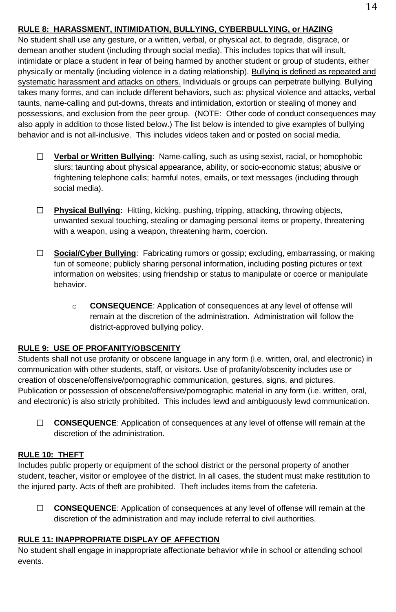#### **RULE 8: HARASSMENT, INTIMIDATION, BULLYING, CYBERBULLYING, or HAZING**

No student shall use any gesture, or a written, verbal, or physical act, to degrade, disgrace, or demean another student (including through social media). This includes topics that will insult, intimidate or place a student in fear of being harmed by another student or group of students, either physically or mentally (including violence in a dating relationship). Bullying is defined as repeated and systematic harassment and attacks on others. Individuals or groups can perpetrate bullying. Bullying takes many forms, and can include different behaviors, such as: physical violence and attacks, verbal taunts, name-calling and put-downs, threats and intimidation, extortion or stealing of money and possessions, and exclusion from the peer group. (NOTE: Other code of conduct consequences may also apply in addition to those listed below.) The list below is intended to give examples of bullying behavior and is not all-inclusive. This includes videos taken and or posted on social media.

- □ **Verbal or Written Bullying**: Name-calling, such as using sexist, racial, or homophobic slurs; taunting about physical appearance, ability, or socio-economic status; abusive or frightening telephone calls; harmful notes, emails, or text messages (including through social media).
- **Physical Bullying:** Hitting, kicking, pushing, tripping, attacking, throwing objects, unwanted sexual touching, stealing or damaging personal items or property, threatening with a weapon, using a weapon, threatening harm, coercion.
- **Social/Cyber Bullying**: Fabricating rumors or gossip; excluding, embarrassing, or making fun of someone; publicly sharing personal information, including posting pictures or text information on websites; using friendship or status to manipulate or coerce or manipulate behavior.
	- o **CONSEQUENCE**: Application of consequences at any level of offense will remain at the discretion of the administration. Administration will follow the district-approved bullying policy.

#### **RULE 9: USE OF PROFANITY/OBSCENITY**

Students shall not use profanity or obscene language in any form (i.e. written, oral, and electronic) in communication with other students, staff, or visitors. Use of profanity/obscenity includes use or creation of obscene/offensive/pornographic communication, gestures, signs, and pictures. Publication or possession of obscene/offensive/pornographic material in any form (i.e. written, oral, and electronic) is also strictly prohibited. This includes lewd and ambiguously lewd communication.

 **CONSEQUENCE**: Application of consequences at any level of offense will remain at the discretion of the administration.

#### **RULE 10: THEFT**

Includes public property or equipment of the school district or the personal property of another student, teacher, visitor or employee of the district. In all cases, the student must make restitution to the injured party. Acts of theft are prohibited. Theft includes items from the cafeteria.

 **CONSEQUENCE**: Application of consequences at any level of offense will remain at the discretion of the administration and may include referral to civil authorities.

#### **RULE 11: INAPPROPRIATE DISPLAY OF AFFECTION**

No student shall engage in inappropriate affectionate behavior while in school or attending school events.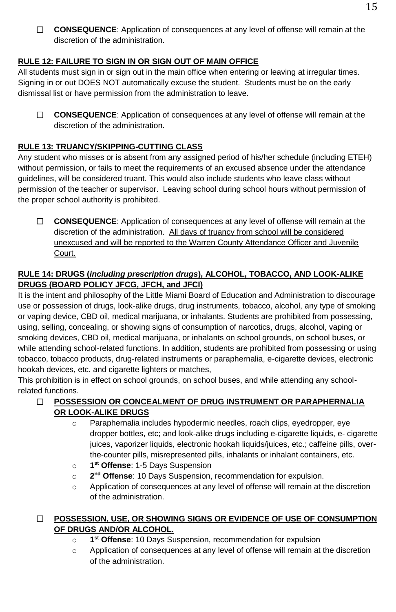**CONSEQUENCE**: Application of consequences at any level of offense will remain at the discretion of the administration.

# **RULE 12: FAILURE TO SIGN IN OR SIGN OUT OF MAIN OFFICE**

All students must sign in or sign out in the main office when entering or leaving at irregular times. Signing in or out DOES NOT automatically excuse the student. Students must be on the early dismissal list or have permission from the administration to leave.

 **CONSEQUENCE**: Application of consequences at any level of offense will remain at the discretion of the administration.

# **RULE 13: TRUANCY/SKIPPING-CUTTING CLASS**

Any student who misses or is absent from any assigned period of his/her schedule (including ETEH) without permission, or fails to meet the requirements of an excused absence under the attendance guidelines, will be considered truant. This would also include students who leave class without permission of the teacher or supervisor. Leaving school during school hours without permission of the proper school authority is prohibited.

 **CONSEQUENCE**: Application of consequences at any level of offense will remain at the discretion of the administration. All days of truancy from school will be considered unexcused and will be reported to the Warren County Attendance Officer and Juvenile Court.

# **RULE 14: DRUGS (***including prescription drugs***), ALCOHOL, TOBACCO, AND LOOK-ALIKE DRUGS (BOARD POLICY JFCG, JFCH, and JFCI)**

It is the intent and philosophy of the Little Miami Board of Education and Administration to discourage use or possession of drugs, look-alike drugs, drug instruments, tobacco, alcohol, any type of smoking or vaping device, CBD oil, medical marijuana, or inhalants. Students are prohibited from possessing, using, selling, concealing, or showing signs of consumption of narcotics, drugs, alcohol, vaping or smoking devices, CBD oil, medical marijuana, or inhalants on school grounds, on school buses, or while attending school-related functions. In addition, students are prohibited from possessing or using tobacco, tobacco products, drug-related instruments or paraphernalia, e-cigarette devices, electronic hookah devices, etc. and cigarette lighters or matches,

This prohibition is in effect on school grounds, on school buses, and while attending any schoolrelated functions.

# **POSSESSION OR CONCEALMENT OF DRUG INSTRUMENT OR PARAPHERNALIA OR LOOK-ALIKE DRUGS**

- o Paraphernalia includes hypodermic needles, roach clips, eyedropper, eye dropper bottles, etc; and look-alike drugs including e-cigarette liquids, e- cigarette juices, vaporizer liquids, electronic hookah liquids/juices, etc.; caffeine pills, overthe-counter pills, misrepresented pills, inhalants or inhalant containers, etc.
- $\Omega$ **st Offense**: 1-5 Days Suspension
- o **2** 2<sup>nd</sup> Offense: 10 Days Suspension, recommendation for expulsion.
- o Application of consequences at any level of offense will remain at the discretion of the administration.

# **POSSESSION, USE, OR SHOWING SIGNS OR EVIDENCE OF USE OF CONSUMPTION OF DRUGS AND/OR ALCOHOL.**

- o **1 st Offense**: 10 Days Suspension, recommendation for expulsion
- o Application of consequences at any level of offense will remain at the discretion of the administration.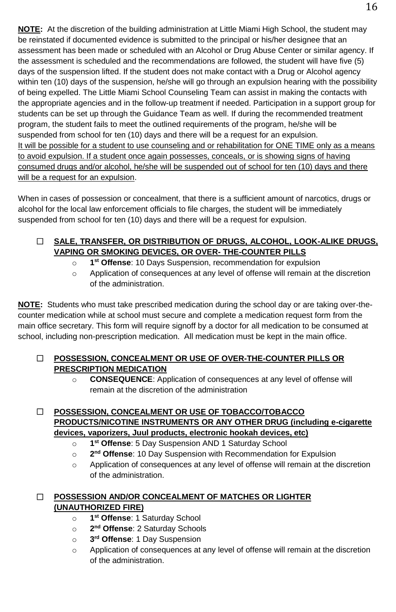**NOTE:** At the discretion of the building administration at Little Miami High School, the student may be reinstated if documented evidence is submitted to the principal or his/her designee that an assessment has been made or scheduled with an Alcohol or Drug Abuse Center or similar agency. If the assessment is scheduled and the recommendations are followed, the student will have five (5) days of the suspension lifted. If the student does not make contact with a Drug or Alcohol agency within ten (10) days of the suspension, he/she will go through an expulsion hearing with the possibility of being expelled. The Little Miami School Counseling Team can assist in making the contacts with the appropriate agencies and in the follow-up treatment if needed. Participation in a support group for students can be set up through the Guidance Team as well. If during the recommended treatment program, the student fails to meet the outlined requirements of the program, he/she will be suspended from school for ten (10) days and there will be a request for an expulsion. It will be possible for a student to use counseling and or rehabilitation for ONE TIME only as a means to avoid expulsion. If a student once again possesses, conceals, or is showing signs of having consumed drugs and/or alcohol, he/she will be suspended out of school for ten (10) days and there will be a request for an expulsion.

When in cases of possession or concealment, that there is a sufficient amount of narcotics, drugs or alcohol for the local law enforcement officials to file charges, the student will be immediately suspended from school for ten (10) days and there will be a request for expulsion.

# **SALE, TRANSFER, OR DISTRIBUTION OF DRUGS, ALCOHOL, LOOK-ALIKE DRUGS, VAPING OR SMOKING DEVICES, OR OVER- THE-COUNTER PILLS**

- o **1 st Offense**: 10 Days Suspension, recommendation for expulsion
- o Application of consequences at any level of offense will remain at the discretion of the administration.

**NOTE:** Students who must take prescribed medication during the school day or are taking over-thecounter medication while at school must secure and complete a medication request form from the main office secretary. This form will require signoff by a doctor for all medication to be consumed at school, including non-prescription medication. All medication must be kept in the main office.

# **POSSESSION, CONCEALMENT OR USE OF OVER-THE-COUNTER PILLS OR PRESCRIPTION MEDICATION**

o **CONSEQUENCE**: Application of consequences at any level of offense will remain at the discretion of the administration

# **POSSESSION, CONCEALMENT OR USE OF TOBACCO/TOBACCO PRODUCTS/NICOTINE INSTRUMENTS OR ANY OTHER DRUG (including e-cigarette devices, vaporizers, Juul products, electronic hookah devices, etc)**

- o **1** 1<sup>st</sup> Offense: 5 Day Suspension AND 1 Saturday School
- o **2 2<sup>nd</sup> Offense**: 10 Day Suspension with Recommendation for Expulsion
- o Application of consequences at any level of offense will remain at the discretion of the administration.

# **POSSESSION AND/OR CONCEALMENT OF MATCHES OR LIGHTER (UNAUTHORIZED FIRE)**

- o **1 st Offense**: 1 Saturday School
- o **2 nd Offense**: 2 Saturday Schools
- $\circ$ 3<sup>rd</sup> Offense: 1 Day Suspension
- o Application of consequences at any level of offense will remain at the discretion of the administration.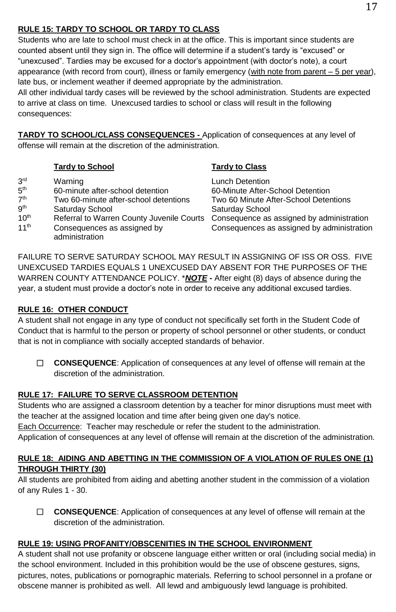# **RULE 15: TARDY TO SCHOOL OR TARDY TO CLASS**

Students who are late to school must check in at the office. This is important since students are counted absent until they sign in. The office will determine if a student's tardy is "excused" or "unexcused". Tardies may be excused for a doctor's appointment (with doctor's note), a court appearance (with record from court), illness or family emergency (with note from parent – 5 per year), late bus, or inclement weather if deemed appropriate by the administration.

All other individual tardy cases will be reviewed by the school administration. Students are expected to arrive at class on time. Unexcused tardies to school or class will result in the following consequences:

**TARDY TO SCHOOL/CLASS CONSEQUENCES -** Application of consequences at any level of offense will remain at the discretion of the administration.

|                                                                                                      | <b>Tardy to School</b>                                                                                                                                                                                | <b>Tardy to Class</b>                                                                                                                                                                                      |
|------------------------------------------------------------------------------------------------------|-------------------------------------------------------------------------------------------------------------------------------------------------------------------------------------------------------|------------------------------------------------------------------------------------------------------------------------------------------------------------------------------------------------------------|
| 3 <sup>rd</sup><br>5 <sup>th</sup><br>7 <sup>th</sup><br>gth<br>10 <sup>th</sup><br>11 <sup>th</sup> | Warning<br>60-minute after-school detention<br>Two 60-minute after-school detentions<br>Saturday School<br>Referral to Warren County Juvenile Courts<br>Consequences as assigned by<br>administration | Lunch Detention<br>60-Minute After-School Detention<br>Two 60 Minute After-School Detentions<br>Saturday School<br>Consequence as assigned by administration<br>Consequences as assigned by administration |

FAILURE TO SERVE SATURDAY SCHOOL MAY RESULT IN ASSIGNING OF ISS OR OSS. FIVE UNEXCUSED TARDIES EQUALS 1 UNEXCUSED DAY ABSENT FOR THE PURPOSES OF THE WARREN COUNTY ATTENDANCE POLICY. \**NOTE* **-** After eight (8) days of absence during the year, a student must provide a doctor's note in order to receive any additional excused tardies.

# **RULE 16: OTHER CONDUCT**

A student shall not engage in any type of conduct not specifically set forth in the Student Code of Conduct that is harmful to the person or property of school personnel or other students, or conduct that is not in compliance with socially accepted standards of behavior.

 **CONSEQUENCE**: Application of consequences at any level of offense will remain at the discretion of the administration.

# **RULE 17: FAILURE TO SERVE CLASSROOM DETENTION**

Students who are assigned a classroom detention by a teacher for minor disruptions must meet with the teacher at the assigned location and time after being given one day's notice.

Each Occurrence: Teacher may reschedule or refer the student to the administration.

Application of consequences at any level of offense will remain at the discretion of the administration.

# **RULE 18: AIDING AND ABETTING IN THE COMMISSION OF A VIOLATION OF RULES ONE (1) THROUGH THIRTY (30)**

All students are prohibited from aiding and abetting another student in the commission of a violation of any Rules 1 - 30.

 **CONSEQUENCE**: Application of consequences at any level of offense will remain at the discretion of the administration.

# **RULE 19: USING PROFANITY/OBSCENITIES IN THE SCHOOL ENVIRONMENT**

A student shall not use profanity or obscene language either written or oral (including social media) in the school environment. Included in this prohibition would be the use of obscene gestures, signs, pictures, notes, publications or pornographic materials. Referring to school personnel in a profane or obscene manner is prohibited as well. All lewd and ambiguously lewd language is prohibited.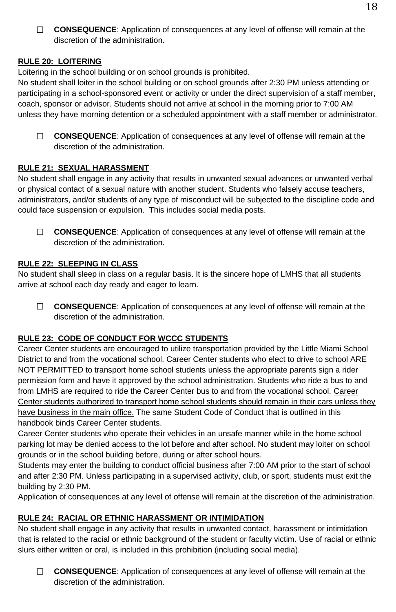**CONSEQUENCE**: Application of consequences at any level of offense will remain at the discretion of the administration.

# **RULE 20: LOITERING**

Loitering in the school building or on school grounds is prohibited.

No student shall loiter in the school building or on school grounds after 2:30 PM unless attending or participating in a school-sponsored event or activity or under the direct supervision of a staff member, coach, sponsor or advisor. Students should not arrive at school in the morning prior to 7:00 AM unless they have morning detention or a scheduled appointment with a staff member or administrator.

 **CONSEQUENCE**: Application of consequences at any level of offense will remain at the discretion of the administration.

# **RULE 21: SEXUAL HARASSMENT**

No student shall engage in any activity that results in unwanted sexual advances or unwanted verbal or physical contact of a sexual nature with another student. Students who falsely accuse teachers, administrators, and/or students of any type of misconduct will be subjected to the discipline code and could face suspension or expulsion. This includes social media posts.

 **CONSEQUENCE**: Application of consequences at any level of offense will remain at the discretion of the administration.

# **RULE 22: SLEEPING IN CLASS**

No student shall sleep in class on a regular basis. It is the sincere hope of LMHS that all students arrive at school each day ready and eager to learn.

 **CONSEQUENCE**: Application of consequences at any level of offense will remain at the discretion of the administration.

# **RULE 23: CODE OF CONDUCT FOR WCCC STUDENTS**

Career Center students are encouraged to utilize transportation provided by the Little Miami School District to and from the vocational school. Career Center students who elect to drive to school ARE NOT PERMITTED to transport home school students unless the appropriate parents sign a rider permission form and have it approved by the school administration. Students who ride a bus to and from LMHS are required to ride the Career Center bus to and from the vocational school. Career Center students authorized to transport home school students should remain in their cars unless they have business in the main office. The same Student Code of Conduct that is outlined in this handbook binds Career Center students.

Career Center students who operate their vehicles in an unsafe manner while in the home school parking lot may be denied access to the lot before and after school. No student may loiter on school grounds or in the school building before, during or after school hours.

Students may enter the building to conduct official business after 7:00 AM prior to the start of school and after 2:30 PM. Unless participating in a supervised activity, club, or sport, students must exit the building by 2:30 PM.

Application of consequences at any level of offense will remain at the discretion of the administration.

# **RULE 24: RACIAL OR ETHNIC HARASSMENT OR INTIMIDATION**

No student shall engage in any activity that results in unwanted contact, harassment or intimidation that is related to the racial or ethnic background of the student or faculty victim. Use of racial or ethnic slurs either written or oral, is included in this prohibition (including social media).

 **CONSEQUENCE**: Application of consequences at any level of offense will remain at the discretion of the administration.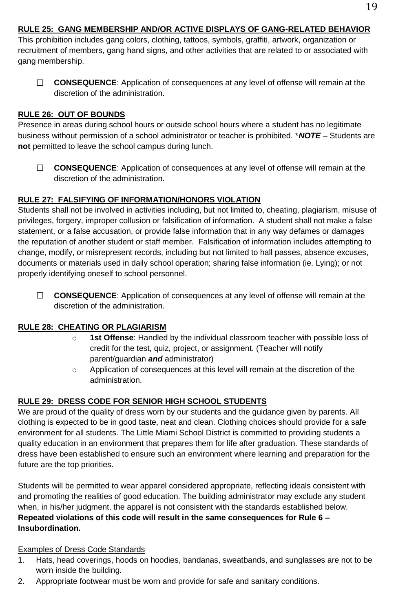# **RULE 25: GANG MEMBERSHIP AND/OR ACTIVE DISPLAYS OF GANG-RELATED BEHAVIOR**

This prohibition includes gang colors, clothing, tattoos, symbols, graffiti, artwork, organization or recruitment of members, gang hand signs, and other activities that are related to or associated with gang membership.

 **CONSEQUENCE**: Application of consequences at any level of offense will remain at the discretion of the administration.

#### **RULE 26: OUT OF BOUNDS**

Presence in areas during school hours or outside school hours where a student has no legitimate business without permission of a school administrator or teacher is prohibited. \**NOTE* – Students are **not** permitted to leave the school campus during lunch.

 **CONSEQUENCE**: Application of consequences at any level of offense will remain at the discretion of the administration.

#### **RULE 27: FALSIFYING OF INFORMATION/HONORS VIOLATION**

Students shall not be involved in activities including, but not limited to, cheating, plagiarism, misuse of privileges, forgery, improper collusion or falsification of information. A student shall not make a false statement, or a false accusation, or provide false information that in any way defames or damages the reputation of another student or staff member. Falsification of information includes attempting to change, modify, or misrepresent records, including but not limited to hall passes, absence excuses, documents or materials used in daily school operation; sharing false information (ie. Lying); or not properly identifying oneself to school personnel.

 **CONSEQUENCE**: Application of consequences at any level of offense will remain at the discretion of the administration.

#### **RULE 28: CHEATING OR PLAGIARISM**

- o **1st Offense**: Handled by the individual classroom teacher with possible loss of credit for the test, quiz, project, or assignment. (Teacher will notify parent/guardian *and* administrator)
- o Application of consequences at this level will remain at the discretion of the administration.

# **RULE 29: DRESS CODE FOR SENIOR HIGH SCHOOL STUDENTS**

We are proud of the quality of dress worn by our students and the guidance given by parents. All clothing is expected to be in good taste, neat and clean. Clothing choices should provide for a safe environment for all students. The Little Miami School District is committed to providing students a quality education in an environment that prepares them for life after graduation. These standards of dress have been established to ensure such an environment where learning and preparation for the future are the top priorities.

Students will be permitted to wear apparel considered appropriate, reflecting ideals consistent with and promoting the realities of good education. The building administrator may exclude any student when, in his/her judgment, the apparel is not consistent with the standards established below. **Repeated violations of this code will result in the same consequences for Rule 6 – Insubordination.**

#### Examples of Dress Code Standards

- 1. Hats, head coverings, hoods on hoodies, bandanas, sweatbands, and sunglasses are not to be worn inside the building.
- 2. Appropriate footwear must be worn and provide for safe and sanitary conditions.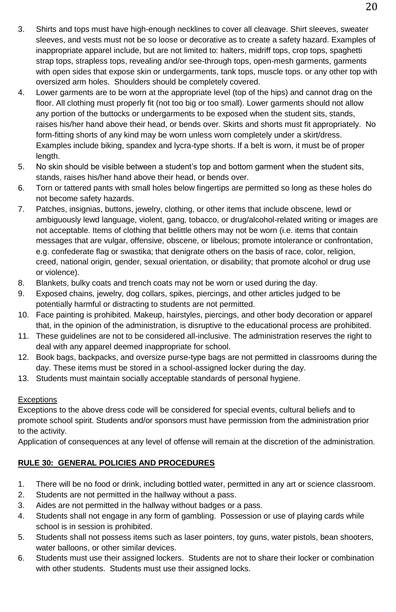- 3. Shirts and tops must have high-enough necklines to cover all cleavage. Shirt sleeves, sweater sleeves, and vests must not be so loose or decorative as to create a safety hazard. Examples of inappropriate apparel include, but are not limited to: halters, midriff tops, crop tops, spaghetti strap tops, strapless tops, revealing and/or see-through tops, open-mesh garments, garments with open sides that expose skin or undergarments, tank tops, muscle tops. or any other top with oversized arm holes. Shoulders should be completely covered.
- 4. Lower garments are to be worn at the appropriate level (top of the hips) and cannot drag on the floor. All clothing must properly fit (not too big or too small). Lower garments should not allow any portion of the buttocks or undergarments to be exposed when the student sits, stands, raises his/her hand above their head, or bends over. Skirts and shorts must fit appropriately. No form-fitting shorts of any kind may be worn unless worn completely under a skirt/dress. Examples include biking, spandex and lycra-type shorts. If a belt is worn, it must be of proper length.
- 5. No skin should be visible between a student's top and bottom garment when the student sits, stands, raises his/her hand above their head, or bends over.
- 6. Torn or tattered pants with small holes below fingertips are permitted so long as these holes do not become safety hazards.
- 7. Patches, insignias, buttons, jewelry, clothing, or other items that include obscene, lewd or ambiguously lewd language, violent, gang, tobacco, or drug/alcohol-related writing or images are not acceptable. Items of clothing that belittle others may not be worn (i.e. items that contain messages that are vulgar, offensive, obscene, or libelous; promote intolerance or confrontation, e.g. confederate flag or swastika; that denigrate others on the basis of race, color, religion, creed, national origin, gender, sexual orientation, or disability; that promote alcohol or drug use or violence).
- 8. Blankets, bulky coats and trench coats may not be worn or used during the day.
- 9. Exposed chains, jewelry, dog collars, spikes, piercings, and other articles judged to be potentially harmful or distracting to students are not permitted.
- 10. Face painting is prohibited. Makeup, hairstyles, piercings, and other body decoration or apparel that, in the opinion of the administration, is disruptive to the educational process are prohibited.
- 11. These guidelines are not to be considered all-inclusive. The administration reserves the right to deal with any apparel deemed inappropriate for school.
- 12. Book bags, backpacks, and oversize purse-type bags are not permitted in classrooms during the day. These items must be stored in a school-assigned locker during the day.
- 13. Students must maintain socially acceptable standards of personal hygiene.

# **Exceptions**

Exceptions to the above dress code will be considered for special events, cultural beliefs and to promote school spirit. Students and/or sponsors must have permission from the administration prior to the activity.

Application of consequences at any level of offense will remain at the discretion of the administration.

# **RULE 30: GENERAL POLICIES AND PROCEDURES**

- 1. There will be no food or drink, including bottled water, permitted in any art or science classroom.
- 2. Students are not permitted in the hallway without a pass.
- 3. Aides are not permitted in the hallway without badges or a pass.
- 4. Students shall not engage in any form of gambling. Possession or use of playing cards while school is in session is prohibited.
- 5. Students shall not possess items such as laser pointers, toy guns, water pistols, bean shooters, water balloons, or other similar devices.
- 6. Students must use their assigned lockers. Students are not to share their locker or combination with other students. Students must use their assigned locks.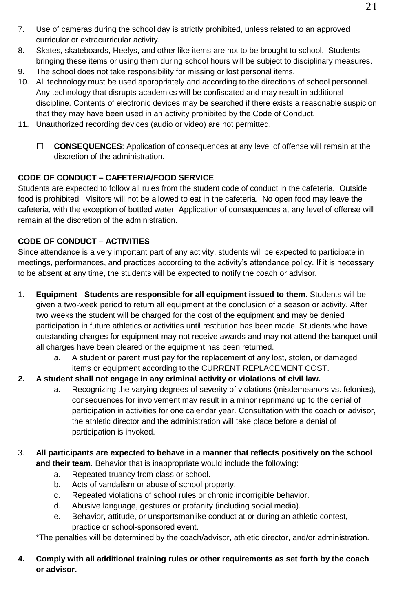- 7. Use of cameras during the school day is strictly prohibited, unless related to an approved curricular or extracurricular activity.
- 8. Skates, skateboards, Heelys, and other like items are not to be brought to school. Students bringing these items or using them during school hours will be subject to disciplinary measures.
- 9. The school does not take responsibility for missing or lost personal items.
- 10. All technology must be used appropriately and according to the directions of school personnel. Any technology that disrupts academics will be confiscated and may result in additional discipline. Contents of electronic devices may be searched if there exists a reasonable suspicion that they may have been used in an activity prohibited by the Code of Conduct.
- 11. Unauthorized recording devices (audio or video) are not permitted.
	- **CONSEQUENCES**: Application of consequences at any level of offense will remain at the discretion of the administration.

# **CODE OF CONDUCT – CAFETERIA/FOOD SERVICE**

Students are expected to follow all rules from the student code of conduct in the cafeteria. Outside food is prohibited. Visitors will not be allowed to eat in the cafeteria. No open food may leave the cafeteria, with the exception of bottled water. Application of consequences at any level of offense will remain at the discretion of the administration.

# **CODE OF CONDUCT – ACTIVITIES**

Since attendance is a very important part of any activity, students will be expected to participate in meetings, performances, and practices according to the activity's attendance policy. If it is necessary to be absent at any time, the students will be expected to notify the coach or advisor.

- 1. **Equipment Students are responsible for all equipment issued to them**. Students will be given a two-week period to return all equipment at the conclusion of a season or activity. After two weeks the student will be charged for the cost of the equipment and may be denied participation in future athletics or activities until restitution has been made. Students who have outstanding charges for equipment may not receive awards and may not attend the banquet until all charges have been cleared or the equipment has been returned.
	- a. A student or parent must pay for the replacement of any lost, stolen, or damaged items or equipment according to the CURRENT REPLACEMENT COST.
- **2. A student shall not engage in any criminal activity or violations of civil law.**
	- a. Recognizing the varying degrees of severity of violations (misdemeanors vs. felonies), consequences for involvement may result in a minor reprimand up to the denial of participation in activities for one calendar year. Consultation with the coach or advisor, the athletic director and the administration will take place before a denial of participation is invoked.
- 3. **All participants are expected to behave in a manner that reflects positively on the school and their team**. Behavior that is inappropriate would include the following:
	- a. Repeated truancy from class or school.
	- b. Acts of vandalism or abuse of school property.
	- c. Repeated violations of school rules or chronic incorrigible behavior.
	- d. Abusive language, gestures or profanity (including social media).
	- e. Behavior, attitude, or unsportsmanlike conduct at or during an athletic contest, practice or school-sponsored event.

\*The penalties will be determined by the coach/advisor, athletic director, and/or administration.

# **4. Comply with all additional training rules or other requirements as set forth by the coach or advisor.**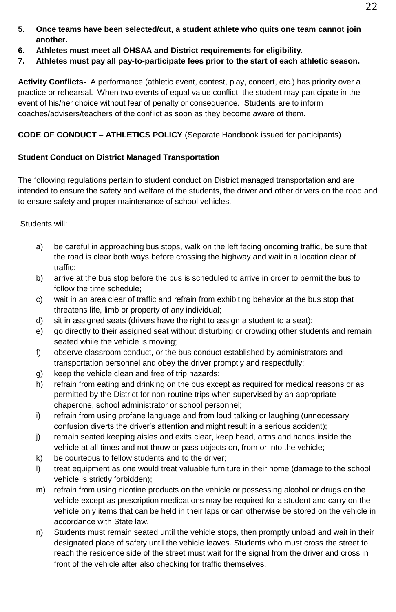- **5. Once teams have been selected/cut, a student athlete who quits one team cannot join another.**
- **6. Athletes must meet all OHSAA and District requirements for eligibility.**
- **7. Athletes must pay all pay-to-participate fees prior to the start of each athletic season.**

**Activity Conflicts-** A performance (athletic event, contest, play, concert, etc.) has priority over a practice or rehearsal. When two events of equal value conflict, the student may participate in the event of his/her choice without fear of penalty or consequence. Students are to inform coaches/advisers/teachers of the conflict as soon as they become aware of them.

**CODE OF CONDUCT – ATHLETICS POLICY** (Separate Handbook issued for participants)

# **Student Conduct on District Managed Transportation**

The following regulations pertain to student conduct on District managed transportation and are intended to ensure the safety and welfare of the students, the driver and other drivers on the road and to ensure safety and proper maintenance of school vehicles.

Students will:

- a) be careful in approaching bus stops, walk on the left facing oncoming traffic, be sure that the road is clear both ways before crossing the highway and wait in a location clear of traffic;
- b) arrive at the bus stop before the bus is scheduled to arrive in order to permit the bus to follow the time schedule;
- c) wait in an area clear of traffic and refrain from exhibiting behavior at the bus stop that threatens life, limb or property of any individual;
- d) sit in assigned seats (drivers have the right to assign a student to a seat);
- e) go directly to their assigned seat without disturbing or crowding other students and remain seated while the vehicle is moving;
- f) observe classroom conduct, or the bus conduct established by administrators and transportation personnel and obey the driver promptly and respectfully;
- g) keep the vehicle clean and free of trip hazards;
- h) refrain from eating and drinking on the bus except as required for medical reasons or as permitted by the District for non-routine trips when supervised by an appropriate chaperone, school administrator or school personnel;
- i) refrain from using profane language and from loud talking or laughing (unnecessary confusion diverts the driver's attention and might result in a serious accident);
- j) remain seated keeping aisles and exits clear, keep head, arms and hands inside the vehicle at all times and not throw or pass objects on, from or into the vehicle;
- k) be courteous to fellow students and to the driver;
- l) treat equipment as one would treat valuable furniture in their home (damage to the school vehicle is strictly forbidden);
- m) refrain from using nicotine products on the vehicle or possessing alcohol or drugs on the vehicle except as prescription medications may be required for a student and carry on the vehicle only items that can be held in their laps or can otherwise be stored on the vehicle in accordance with State law.
- n) Students must remain seated until the vehicle stops, then promptly unload and wait in their designated place of safety until the vehicle leaves. Students who must cross the street to reach the residence side of the street must wait for the signal from the driver and cross in front of the vehicle after also checking for traffic themselves.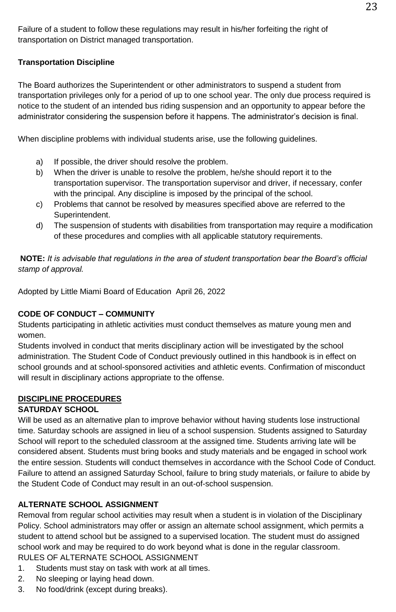Failure of a student to follow these regulations may result in his/her forfeiting the right of transportation on District managed transportation.

# **Transportation Discipline**

The Board authorizes the Superintendent or other administrators to suspend a student from transportation privileges only for a period of up to one school year. The only due process required is notice to the student of an intended bus riding suspension and an opportunity to appear before the administrator considering the suspension before it happens. The administrator's decision is final.

When discipline problems with individual students arise, use the following guidelines.

- a) If possible, the driver should resolve the problem.
- b) When the driver is unable to resolve the problem, he/she should report it to the transportation supervisor. The transportation supervisor and driver, if necessary, confer with the principal. Any discipline is imposed by the principal of the school.
- c) Problems that cannot be resolved by measures specified above are referred to the Superintendent.
- d) The suspension of students with disabilities from transportation may require a modification of these procedures and complies with all applicable statutory requirements.

**NOTE:** *It is advisable that regulations in the area of student transportation bear the Board's official stamp of approval.*

Adopted by Little Miami Board of Education April 26, 2022

# **CODE OF CONDUCT – COMMUNITY**

Students participating in athletic activities must conduct themselves as mature young men and women.

Students involved in conduct that merits disciplinary action will be investigated by the school administration. The Student Code of Conduct previously outlined in this handbook is in effect on school grounds and at school-sponsored activities and athletic events. Confirmation of misconduct will result in disciplinary actions appropriate to the offense.

# **DISCIPLINE PROCEDURES**

# **SATURDAY SCHOOL**

Will be used as an alternative plan to improve behavior without having students lose instructional time. Saturday schools are assigned in lieu of a school suspension. Students assigned to Saturday School will report to the scheduled classroom at the assigned time. Students arriving late will be considered absent. Students must bring books and study materials and be engaged in school work the entire session. Students will conduct themselves in accordance with the School Code of Conduct. Failure to attend an assigned Saturday School, failure to bring study materials, or failure to abide by the Student Code of Conduct may result in an out-of-school suspension.

# **ALTERNATE SCHOOL ASSIGNMENT**

Removal from regular school activities may result when a student is in violation of the Disciplinary Policy. School administrators may offer or assign an alternate school assignment, which permits a student to attend school but be assigned to a supervised location. The student must do assigned school work and may be required to do work beyond what is done in the regular classroom. RULES OF ALTERNATE SCHOOL ASSIGNMENT

- 1. Students must stay on task with work at all times.
- 2. No sleeping or laying head down.
- 3. No food/drink (except during breaks).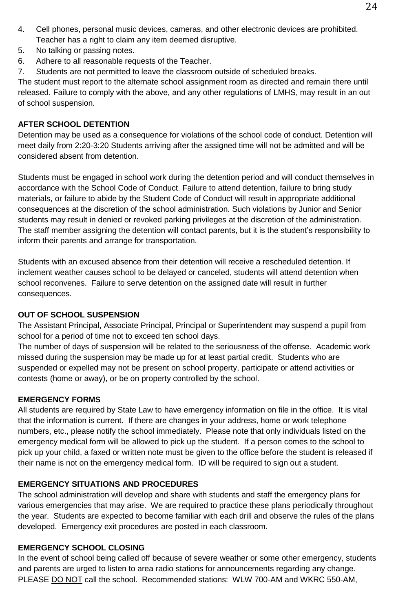- 4. Cell phones, personal music devices, cameras, and other electronic devices are prohibited. Teacher has a right to claim any item deemed disruptive.
- 5. No talking or passing notes.
- 6. Adhere to all reasonable requests of the Teacher.
- 7. Students are not permitted to leave the classroom outside of scheduled breaks.

The student must report to the alternate school assignment room as directed and remain there until released. Failure to comply with the above, and any other regulations of LMHS, may result in an out of school suspension.

# **AFTER SCHOOL DETENTION**

Detention may be used as a consequence for violations of the school code of conduct. Detention will meet daily from 2:20-3:20 Students arriving after the assigned time will not be admitted and will be considered absent from detention.

Students must be engaged in school work during the detention period and will conduct themselves in accordance with the School Code of Conduct. Failure to attend detention, failure to bring study materials, or failure to abide by the Student Code of Conduct will result in appropriate additional consequences at the discretion of the school administration. Such violations by Junior and Senior students may result in denied or revoked parking privileges at the discretion of the administration. The staff member assigning the detention will contact parents, but it is the student's responsibility to inform their parents and arrange for transportation.

Students with an excused absence from their detention will receive a rescheduled detention. If inclement weather causes school to be delayed or canceled, students will attend detention when school reconvenes. Failure to serve detention on the assigned date will result in further consequences.

# **OUT OF SCHOOL SUSPENSION**

The Assistant Principal, Associate Principal, Principal or Superintendent may suspend a pupil from school for a period of time not to exceed ten school days.

The number of days of suspension will be related to the seriousness of the offense. Academic work missed during the suspension may be made up for at least partial credit. Students who are suspended or expelled may not be present on school property, participate or attend activities or contests (home or away), or be on property controlled by the school.

# **EMERGENCY FORMS**

All students are required by State Law to have emergency information on file in the office. It is vital that the information is current. If there are changes in your address, home or work telephone numbers, etc., please notify the school immediately. Please note that only individuals listed on the emergency medical form will be allowed to pick up the student. If a person comes to the school to pick up your child, a faxed or written note must be given to the office before the student is released if their name is not on the emergency medical form. ID will be required to sign out a student.

# **EMERGENCY SITUATIONS AND PROCEDURES**

The school administration will develop and share with students and staff the emergency plans for various emergencies that may arise. We are required to practice these plans periodically throughout the year. Students are expected to become familiar with each drill and observe the rules of the plans developed. Emergency exit procedures are posted in each classroom.

# **EMERGENCY SCHOOL CLOSING**

In the event of school being called off because of severe weather or some other emergency, students and parents are urged to listen to area radio stations for announcements regarding any change. PLEASE DO NOT call the school. Recommended stations: WLW 700-AM and WKRC 550-AM,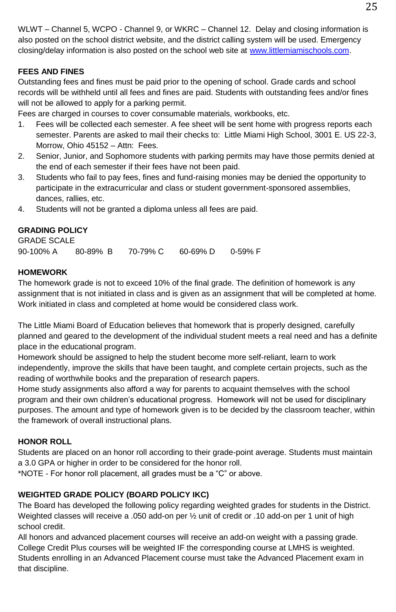WLWT – Channel 5, WCPO - Channel 9, or WKRC – Channel 12. Delay and closing information is also posted on the school district website, and the district calling system will be used. Emergency closing/delay information is also posted on the school web site a[t www.littlemiamischools.com.](http://www.littlemiamischools.com/) 

# **FEES AND FINES**

Outstanding fees and fines must be paid prior to the opening of school. Grade cards and school records will be withheld until all fees and fines are paid. Students with outstanding fees and/or fines will not be allowed to apply for a parking permit.

Fees are charged in courses to cover consumable materials, workbooks, etc.

- 1. Fees will be collected each semester. A fee sheet will be sent home with progress reports each semester. Parents are asked to mail their checks to: Little Miami High School, 3001 E. US 22-3, Morrow, Ohio 45152 – Attn: Fees.
- 2. Senior, Junior, and Sophomore students with parking permits may have those permits denied at the end of each semester if their fees have not been paid.
- 3. Students who fail to pay fees, fines and fund-raising monies may be denied the opportunity to participate in the extracurricular and class or student government-sponsored assemblies, dances, rallies, etc.
- 4. Students will not be granted a diploma unless all fees are paid.

#### **GRADING POLICY**

GRADE SCALE 90-100% A 80-89% B 70-79% C 60-69% D 0-59% F

#### **HOMEWORK**

The homework grade is not to exceed 10% of the final grade. The definition of homework is any assignment that is not initiated in class and is given as an assignment that will be completed at home. Work initiated in class and completed at home would be considered class work.

The Little Miami Board of Education believes that homework that is properly designed, carefully planned and geared to the development of the individual student meets a real need and has a definite place in the educational program.

Homework should be assigned to help the student become more self-reliant, learn to work independently, improve the skills that have been taught, and complete certain projects, such as the reading of worthwhile books and the preparation of research papers.

Home study assignments also afford a way for parents to acquaint themselves with the school program and their own children's educational progress. Homework will not be used for disciplinary purposes. The amount and type of homework given is to be decided by the classroom teacher, within the framework of overall instructional plans.

#### **HONOR ROLL**

Students are placed on an honor roll according to their grade-point average. Students must maintain a 3.0 GPA or higher in order to be considered for the honor roll.

\*NOTE - For honor roll placement, all grades must be a "C" or above.

#### **WEIGHTED GRADE POLICY (BOARD POLICY IKC)**

The Board has developed the following policy regarding weighted grades for students in the District. Weighted classes will receive a .050 add-on per 1/<sub>2</sub> unit of credit or .10 add-on per 1 unit of high school credit.

All honors and advanced placement courses will receive an add-on weight with a passing grade. College Credit Plus courses will be weighted IF the corresponding course at LMHS is weighted. Students enrolling in an Advanced Placement course must take the Advanced Placement exam in that discipline.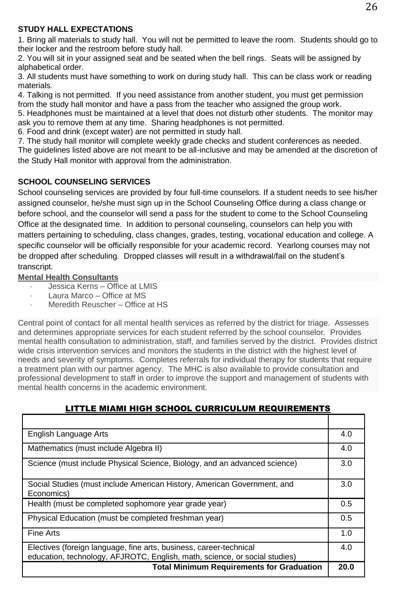#### **STUDY HALL EXPECTATIONS**

1. Bring all materials to study hall. You will not be permitted to leave the room. Students should go to their locker and the restroom before study hall.

2. You will sit in your assigned seat and be seated when the bell rings. Seats will be assigned by alphabetical order.

3. All students must have something to work on during study hall. This can be class work or reading materials.

4. Talking is not permitted. If you need assistance from another student, you must get permission from the study hall monitor and have a pass from the teacher who assigned the group work. 5. Headphones must be maintained at a level that does not disturb other students. The monitor may ask you to remove them at any time. Sharing headphones is not permitted.

6. Food and drink (except water) are not permitted in study hall.

7. The study hall monitor will complete weekly grade checks and student conferences as needed. The guidelines listed above are not meant to be all-inclusive and may be amended at the discretion of the Study Hall monitor with approval from the administration.

# **SCHOOL COUNSELING SERVICES**

School counseling services are provided by four full-time counselors. If a student needs to see his/her assigned counselor, he/she must sign up in the School Counseling Office during a class change or before school, and the counselor will send a pass for the student to come to the School Counseling Office at the designated time. In addition to personal counseling, counselors can help you with matters pertaining to scheduling, class changes, grades, testing, vocational education and college. A specific counselor will be officially responsible for your academic record. Yearlong courses may not be dropped after scheduling. Dropped classes will result in a withdrawal/fail on the student's transcript.

**Mental Health Consultants**

- Jessica Kerns Office at LMIS
- Laura Marco Office at MS
- · Meredith Reuscher Office at HS

Central point of contact for all mental health services as referred by the district for triage. Assesses and determines appropriate services for each student referred by the school counselor. Provides mental health consultation to administration, staff, and families served by the district. Provides district wide crisis intervention services and monitors the students in the district with the highest level of needs and severity of symptoms. Completes referrals for individual therapy for students that require a treatment plan with our partner agency. The MHC is also available to provide consultation and professional development to staff in order to improve the support and management of students with mental health concerns in the academic environment.

| English Language Arts                                                                                                                            | 4.0  |
|--------------------------------------------------------------------------------------------------------------------------------------------------|------|
| Mathematics (must include Algebra II)                                                                                                            | 4.0  |
| Science (must include Physical Science, Biology, and an advanced science)                                                                        | 3.0  |
| Social Studies (must include American History, American Government, and<br>Economics)                                                            | 3.0  |
| Health (must be completed sophomore year grade year)                                                                                             | 0.5  |
| Physical Education (must be completed freshman year)                                                                                             | 0.5  |
| Fine Arts                                                                                                                                        | 1.0  |
| Electives (foreign language, fine arts, business, career-technical<br>education, technology, AFJROTC, English, math, science, or social studies) | 4.0  |
| <b>Total Minimum Requirements for Graduation</b>                                                                                                 | 20.0 |

# LITTLE MIAMI HIGH SCHOOL CURRICULUM REQUIREMENTS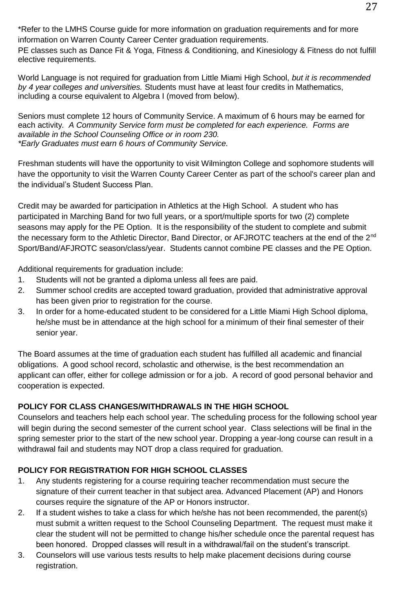\*Refer to the LMHS Course guide for more information on graduation requirements and for more information on Warren County Career Center graduation requirements.

PE classes such as Dance Fit & Yoga, Fitness & Conditioning, and Kinesiology & Fitness do not fulfill elective requirements.

World Language is not required for graduation from Little Miami High School, *but it is recommended by 4 year colleges and universities.* Students must have at least four credits in Mathematics, including a course equivalent to Algebra I (moved from below).

Seniors must complete 12 hours of Community Service. A maximum of 6 hours may be earned for each activity*. A Community Service form must be completed for each experience. Forms are available in the School Counseling Office or in room 230. \*Early Graduates must earn 6 hours of Community Service.*

Freshman students will have the opportunity to visit Wilmington College and sophomore students will have the opportunity to visit the Warren County Career Center as part of the school's career plan and the individual's Student Success Plan.

Credit may be awarded for participation in Athletics at the High School. A student who has participated in Marching Band for two full years, or a sport/multiple sports for two (2) complete seasons may apply for the PE Option. It is the responsibility of the student to complete and submit the necessary form to the Athletic Director, Band Director, or AFJROTC teachers at the end of the 2<sup>nd</sup> Sport/Band/AFJROTC season/class/year. Students cannot combine PE classes and the PE Option.

Additional requirements for graduation include:

- 1. Students will not be granted a diploma unless all fees are paid.
- 2. Summer school credits are accepted toward graduation, provided that administrative approval has been given prior to registration for the course.
- 3. In order for a home-educated student to be considered for a Little Miami High School diploma, he/she must be in attendance at the high school for a minimum of their final semester of their senior year.

The Board assumes at the time of graduation each student has fulfilled all academic and financial obligations. A good school record, scholastic and otherwise, is the best recommendation an applicant can offer, either for college admission or for a job. A record of good personal behavior and cooperation is expected.

# **POLICY FOR CLASS CHANGES/WITHDRAWALS IN THE HIGH SCHOOL**

Counselors and teachers help each school year. The scheduling process for the following school year will begin during the second semester of the current school year. Class selections will be final in the spring semester prior to the start of the new school year. Dropping a year-long course can result in a withdrawal fail and students may NOT drop a class required for graduation.

# **POLICY FOR REGISTRATION FOR HIGH SCHOOL CLASSES**

- 1. Any students registering for a course requiring teacher recommendation must secure the signature of their current teacher in that subject area. Advanced Placement (AP) and Honors courses require the signature of the AP or Honors instructor.
- 2. If a student wishes to take a class for which he/she has not been recommended, the parent(s) must submit a written request to the School Counseling Department. The request must make it clear the student will not be permitted to change his/her schedule once the parental request has been honored. Dropped classes will result in a withdrawal/fail on the student's transcript.
- 3. Counselors will use various tests results to help make placement decisions during course registration.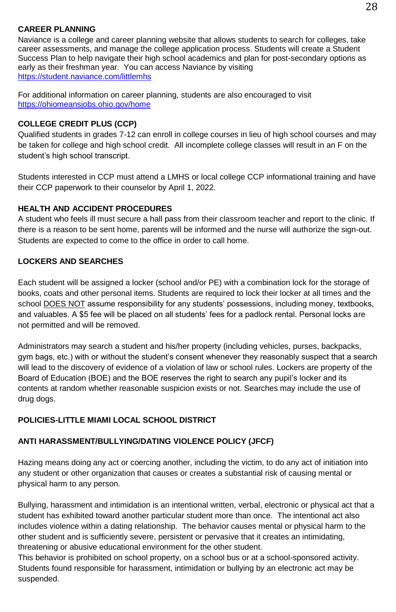#### **CAREER PLANNING**

Naviance is a college and career planning website that allows students to search for colleges, take career assessments, and manage the college application process. Students will create a Student Success Plan to help navigate their high school academics and plan for post-secondary options as early as their freshman year. You can access Naviance by visiting <https://student.naviance.com/littlemhs>

For additional information on career planning, students are also encouraged to visit <https://ohiomeansjobs.ohio.gov/home>

#### **COLLEGE CREDIT PLUS (CCP)**

Qualified students in grades 7-12 can enroll in college courses in lieu of high school courses and may be taken for college and high school credit. All incomplete college classes will result in an F on the student's high school transcript.

Students interested in CCP must attend a LMHS or local college CCP informational training and have their CCP paperwork to their counselor by April 1, 2022.

# **HEALTH AND ACCIDENT PROCEDURES**

A student who feels ill must secure a hall pass from their classroom teacher and report to the clinic. If there is a reason to be sent home, parents will be informed and the nurse will authorize the sign-out. Students are expected to come to the office in order to call home.

#### **LOCKERS AND SEARCHES**

Each student will be assigned a locker (school and/or PE) with a combination lock for the storage of books, coats and other personal items. Students are required to lock their locker at all times and the school DOES NOT assume responsibility for any students' possessions, including money, textbooks, and valuables. A \$5 fee will be placed on all students' fees for a padlock rental. Personal locks are not permitted and will be removed.

Administrators may search a student and his/her property (including vehicles, purses, backpacks, gym bags, etc.) with or without the student's consent whenever they reasonably suspect that a search will lead to the discovery of evidence of a violation of law or school rules. Lockers are property of the Board of Education (BOE) and the BOE reserves the right to search any pupil's locker and its contents at random whether reasonable suspicion exists or not. Searches may include the use of drug dogs.

# **POLICIES-LITTLE MIAMI LOCAL SCHOOL DISTRICT**

# **ANTI HARASSMENT/BULLYING/DATING VIOLENCE POLICY (JFCF)**

Hazing means doing any act or coercing another, including the victim, to do any act of initiation into any student or other organization that causes or creates a substantial risk of causing mental or physical harm to any person.

Bullying, harassment and intimidation is an intentional written, verbal, electronic or physical act that a student has exhibited toward another particular student more than once. The intentional act also includes violence within a dating relationship. The behavior causes mental or physical harm to the other student and is sufficiently severe, persistent or pervasive that it creates an intimidating, threatening or abusive educational environment for the other student.

This behavior is prohibited on school property, on a school bus or at a school-sponsored activity. Students found responsible for harassment, intimidation or bullying by an electronic act may be suspended.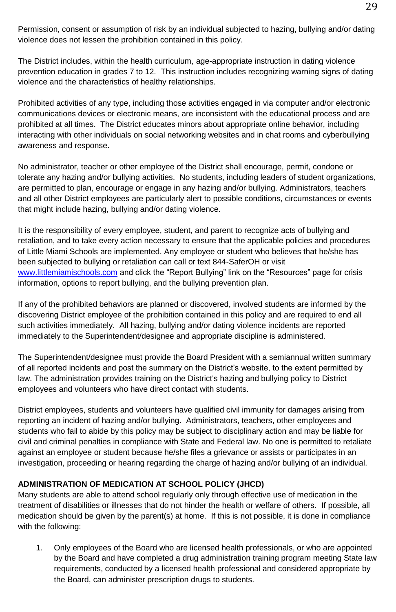29

Permission, consent or assumption of risk by an individual subjected to hazing, bullying and/or dating violence does not lessen the prohibition contained in this policy.

The District includes, within the health curriculum, age-appropriate instruction in dating violence prevention education in grades 7 to 12. This instruction includes recognizing warning signs of dating violence and the characteristics of healthy relationships.

Prohibited activities of any type, including those activities engaged in via computer and/or electronic communications devices or electronic means, are inconsistent with the educational process and are prohibited at all times. The District educates minors about appropriate online behavior, including interacting with other individuals on social networking websites and in chat rooms and cyberbullying awareness and response.

No administrator, teacher or other employee of the District shall encourage, permit, condone or tolerate any hazing and/or bullying activities. No students, including leaders of student organizations, are permitted to plan, encourage or engage in any hazing and/or bullying. Administrators, teachers and all other District employees are particularly alert to possible conditions, circumstances or events that might include hazing, bullying and/or dating violence.

It is the responsibility of every employee, student, and parent to recognize acts of bullying and retaliation, and to take every action necessary to ensure that the applicable policies and procedures of Little Miami Schools are implemented. Any employee or student who believes that he/she has been subjected to bullying or retaliation can call or text 844-SaferOH or visit [www.littlemiamischools.com](http://www.littlemiamischools.com/) and click the "Report Bullying" link on the "Resources" page for crisis information, options to report bullying, and the bullying prevention plan.

If any of the prohibited behaviors are planned or discovered, involved students are informed by the discovering District employee of the prohibition contained in this policy and are required to end all such activities immediately. All hazing, bullying and/or dating violence incidents are reported immediately to the Superintendent/designee and appropriate discipline is administered.

The Superintendent/designee must provide the Board President with a semiannual written summary of all reported incidents and post the summary on the District's website, to the extent permitted by law. The administration provides training on the District's hazing and bullying policy to District employees and volunteers who have direct contact with students.

District employees, students and volunteers have qualified civil immunity for damages arising from reporting an incident of hazing and/or bullying. Administrators, teachers, other employees and students who fail to abide by this policy may be subject to disciplinary action and may be liable for civil and criminal penalties in compliance with State and Federal law. No one is permitted to retaliate against an employee or student because he/she files a grievance or assists or participates in an investigation, proceeding or hearing regarding the charge of hazing and/or bullying of an individual.

# **ADMINISTRATION OF MEDICATION AT SCHOOL POLICY (JHCD)**

Many students are able to attend school regularly only through effective use of medication in the treatment of disabilities or illnesses that do not hinder the health or welfare of others. If possible, all medication should be given by the parent(s) at home. If this is not possible, it is done in compliance with the following:

1. Only employees of the Board who are licensed health professionals, or who are appointed by the Board and have completed a drug administration training program meeting State law requirements, conducted by a licensed health professional and considered appropriate by the Board, can administer prescription drugs to students.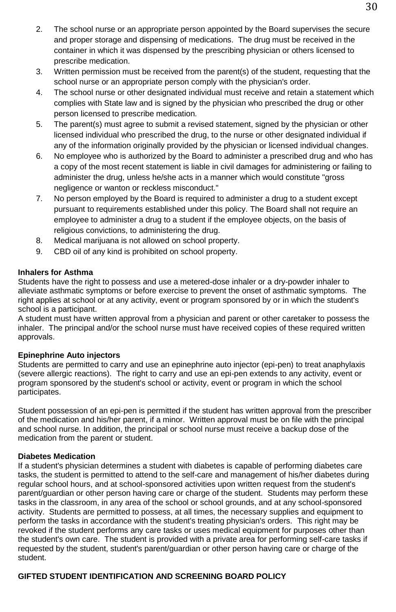- 2. The school nurse or an appropriate person appointed by the Board supervises the secure and proper storage and dispensing of medications. The drug must be received in the container in which it was dispensed by the prescribing physician or others licensed to prescribe medication.
- 3. Written permission must be received from the parent(s) of the student, requesting that the school nurse or an appropriate person comply with the physician's order.
- 4. The school nurse or other designated individual must receive and retain a statement which complies with State law and is signed by the physician who prescribed the drug or other person licensed to prescribe medication.
- 5. The parent(s) must agree to submit a revised statement, signed by the physician or other licensed individual who prescribed the drug, to the nurse or other designated individual if any of the information originally provided by the physician or licensed individual changes.
- 6. No employee who is authorized by the Board to administer a prescribed drug and who has a copy of the most recent statement is liable in civil damages for administering or failing to administer the drug, unless he/she acts in a manner which would constitute "gross negligence or wanton or reckless misconduct."
- 7. No person employed by the Board is required to administer a drug to a student except pursuant to requirements established under this policy. The Board shall not require an employee to administer a drug to a student if the employee objects, on the basis of religious convictions, to administering the drug.
- 8. Medical marijuana is not allowed on school property.
- 9. CBD oil of any kind is prohibited on school property.

#### **Inhalers for Asthma**

Students have the right to possess and use a metered-dose inhaler or a dry-powder inhaler to alleviate asthmatic symptoms or before exercise to prevent the onset of asthmatic symptoms. The right applies at school or at any activity, event or program sponsored by or in which the student's school is a participant.

A student must have written approval from a physician and parent or other caretaker to possess the inhaler. The principal and/or the school nurse must have received copies of these required written approvals.

#### **Epinephrine Auto injectors**

Students are permitted to carry and use an epinephrine auto injector (epi-pen) to treat anaphylaxis (severe allergic reactions). The right to carry and use an epi-pen extends to any activity, event or program sponsored by the student's school or activity, event or program in which the school participates.

Student possession of an epi-pen is permitted if the student has written approval from the prescriber of the medication and his/her parent, if a minor. Written approval must be on file with the principal and school nurse. In addition, the principal or school nurse must receive a backup dose of the medication from the parent or student.

#### **Diabetes Medication**

If a student's physician determines a student with diabetes is capable of performing diabetes care tasks, the student is permitted to attend to the self-care and management of his/her diabetes during regular school hours, and at school-sponsored activities upon written request from the student's parent/guardian or other person having care or charge of the student. Students may perform these tasks in the classroom, in any area of the school or school grounds, and at any school-sponsored activity. Students are permitted to possess, at all times, the necessary supplies and equipment to perform the tasks in accordance with the student's treating physician's orders. This right may be revoked if the student performs any care tasks or uses medical equipment for purposes other than the student's own care. The student is provided with a private area for performing self-care tasks if requested by the student, student's parent/guardian or other person having care or charge of the student.

#### **GIFTED STUDENT IDENTIFICATION AND SCREENING BOARD POLICY**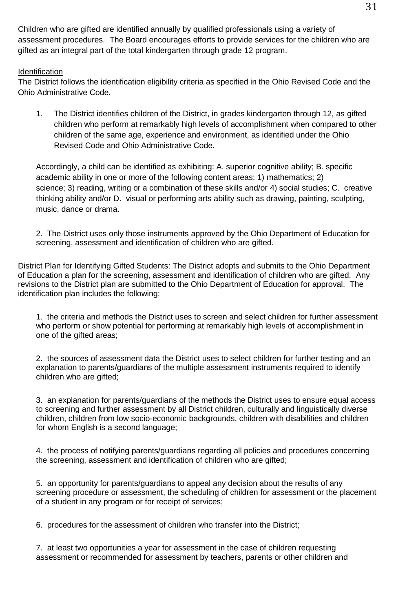Children who are gifted are identified annually by qualified professionals using a variety of assessment procedures. The Board encourages efforts to provide services for the children who are gifted as an integral part of the total kindergarten through grade 12 program.

#### **Identification**

The District follows the identification eligibility criteria as specified in the Ohio Revised Code and the Ohio Administrative Code.

1. The District identifies children of the District, in grades kindergarten through 12, as gifted children who perform at remarkably high levels of accomplishment when compared to other children of the same age, experience and environment, as identified under the Ohio Revised Code and Ohio Administrative Code.

Accordingly, a child can be identified as exhibiting: A. superior cognitive ability; B. specific academic ability in one or more of the following content areas: 1) mathematics; 2) science; 3) reading, writing or a combination of these skills and/or 4) social studies; C. creative thinking ability and/or D. visual or performing arts ability such as drawing, painting, sculpting, music, dance or drama.

2. The District uses only those instruments approved by the Ohio Department of Education for screening, assessment and identification of children who are gifted.

District Plan for Identifying Gifted Students: The District adopts and submits to the Ohio Department of Education a plan for the screening, assessment and identification of children who are gifted. Any revisions to the District plan are submitted to the Ohio Department of Education for approval. The identification plan includes the following:

1. the criteria and methods the District uses to screen and select children for further assessment who perform or show potential for performing at remarkably high levels of accomplishment in one of the gifted areas;

2. the sources of assessment data the District uses to select children for further testing and an explanation to parents/guardians of the multiple assessment instruments required to identify children who are gifted;

3. an explanation for parents/guardians of the methods the District uses to ensure equal access to screening and further assessment by all District children, culturally and linguistically diverse children, children from low socio-economic backgrounds, children with disabilities and children for whom English is a second language;

4. the process of notifying parents/guardians regarding all policies and procedures concerning the screening, assessment and identification of children who are gifted;

5. an opportunity for parents/guardians to appeal any decision about the results of any screening procedure or assessment, the scheduling of children for assessment or the placement of a student in any program or for receipt of services;

6. procedures for the assessment of children who transfer into the District;

7. at least two opportunities a year for assessment in the case of children requesting assessment or recommended for assessment by teachers, parents or other children and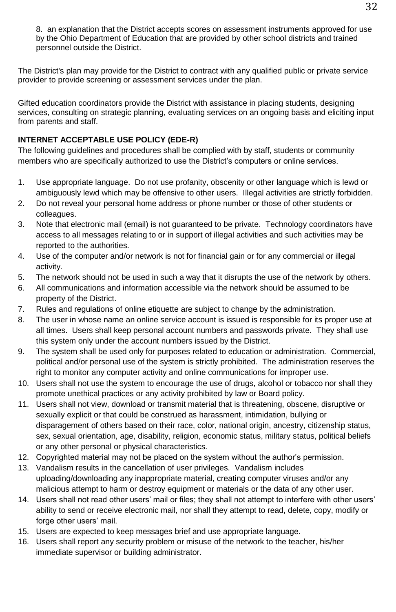8. an explanation that the District accepts scores on assessment instruments approved for use by the Ohio Department of Education that are provided by other school districts and trained personnel outside the District.

The District's plan may provide for the District to contract with any qualified public or private service provider to provide screening or assessment services under the plan.

Gifted education coordinators provide the District with assistance in placing students, designing services, consulting on strategic planning, evaluating services on an ongoing basis and eliciting input from parents and staff.

# **INTERNET ACCEPTABLE USE POLICY (EDE-R)**

The following guidelines and procedures shall be complied with by staff, students or community members who are specifically authorized to use the District's computers or online services.

- 1. Use appropriate language. Do not use profanity, obscenity or other language which is lewd or ambiguously lewd which may be offensive to other users. Illegal activities are strictly forbidden.
- 2. Do not reveal your personal home address or phone number or those of other students or colleagues.
- 3. Note that electronic mail (email) is not guaranteed to be private. Technology coordinators have access to all messages relating to or in support of illegal activities and such activities may be reported to the authorities.
- 4. Use of the computer and/or network is not for financial gain or for any commercial or illegal activity.
- 5. The network should not be used in such a way that it disrupts the use of the network by others.
- 6. All communications and information accessible via the network should be assumed to be property of the District.
- 7. Rules and regulations of online etiquette are subject to change by the administration.
- 8. The user in whose name an online service account is issued is responsible for its proper use at all times. Users shall keep personal account numbers and passwords private. They shall use this system only under the account numbers issued by the District.
- 9. The system shall be used only for purposes related to education or administration. Commercial, political and/or personal use of the system is strictly prohibited. The administration reserves the right to monitor any computer activity and online communications for improper use.
- 10. Users shall not use the system to encourage the use of drugs, alcohol or tobacco nor shall they promote unethical practices or any activity prohibited by law or Board policy.
- 11. Users shall not view, download or transmit material that is threatening, obscene, disruptive or sexually explicit or that could be construed as harassment, intimidation, bullying or disparagement of others based on their race, color, national origin, ancestry, citizenship status, sex, sexual orientation, age, disability, religion, economic status, military status, political beliefs or any other personal or physical characteristics.
- 12. Copyrighted material may not be placed on the system without the author's permission.
- 13. Vandalism results in the cancellation of user privileges. Vandalism includes uploading/downloading any inappropriate material, creating computer viruses and/or any malicious attempt to harm or destroy equipment or materials or the data of any other user.
- 14. Users shall not read other users' mail or files; they shall not attempt to interfere with other users' ability to send or receive electronic mail, nor shall they attempt to read, delete, copy, modify or forge other users' mail.
- 15. Users are expected to keep messages brief and use appropriate language.
- 16. Users shall report any security problem or misuse of the network to the teacher, his/her immediate supervisor or building administrator.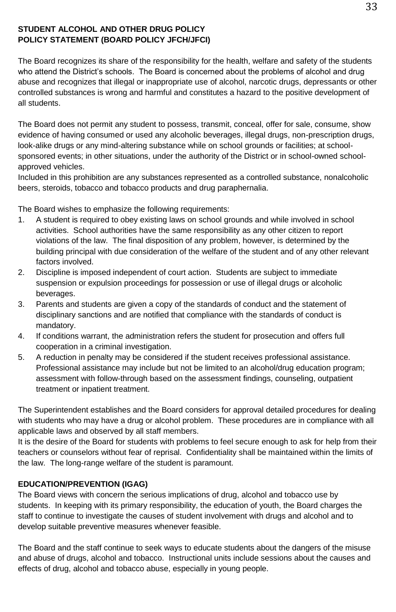#### **STUDENT ALCOHOL AND OTHER DRUG POLICY POLICY STATEMENT (BOARD POLICY JFCH/JFCI)**

The Board recognizes its share of the responsibility for the health, welfare and safety of the students who attend the District's schools. The Board is concerned about the problems of alcohol and drug abuse and recognizes that illegal or inappropriate use of alcohol, narcotic drugs, depressants or other controlled substances is wrong and harmful and constitutes a hazard to the positive development of all students.

The Board does not permit any student to possess, transmit, conceal, offer for sale, consume, show evidence of having consumed or used any alcoholic beverages, illegal drugs, non-prescription drugs, look-alike drugs or any mind-altering substance while on school grounds or facilities; at schoolsponsored events; in other situations, under the authority of the District or in school-owned schoolapproved vehicles.

Included in this prohibition are any substances represented as a controlled substance, nonalcoholic beers, steroids, tobacco and tobacco products and drug paraphernalia.

The Board wishes to emphasize the following requirements:

- 1. A student is required to obey existing laws on school grounds and while involved in school activities. School authorities have the same responsibility as any other citizen to report violations of the law. The final disposition of any problem, however, is determined by the building principal with due consideration of the welfare of the student and of any other relevant factors involved.
- 2. Discipline is imposed independent of court action. Students are subject to immediate suspension or expulsion proceedings for possession or use of illegal drugs or alcoholic beverages.
- 3. Parents and students are given a copy of the standards of conduct and the statement of disciplinary sanctions and are notified that compliance with the standards of conduct is mandatory.
- 4. If conditions warrant, the administration refers the student for prosecution and offers full cooperation in a criminal investigation.
- 5. A reduction in penalty may be considered if the student receives professional assistance. Professional assistance may include but not be limited to an alcohol/drug education program; assessment with follow-through based on the assessment findings, counseling, outpatient treatment or inpatient treatment.

The Superintendent establishes and the Board considers for approval detailed procedures for dealing with students who may have a drug or alcohol problem. These procedures are in compliance with all applicable laws and observed by all staff members.

It is the desire of the Board for students with problems to feel secure enough to ask for help from their teachers or counselors without fear of reprisal. Confidentiality shall be maintained within the limits of the law. The long-range welfare of the student is paramount.

#### **EDUCATION/PREVENTION (IGAG)**

The Board views with concern the serious implications of drug, alcohol and tobacco use by students. In keeping with its primary responsibility, the education of youth, the Board charges the staff to continue to investigate the causes of student involvement with drugs and alcohol and to develop suitable preventive measures whenever feasible.

The Board and the staff continue to seek ways to educate students about the dangers of the misuse and abuse of drugs, alcohol and tobacco. Instructional units include sessions about the causes and effects of drug, alcohol and tobacco abuse, especially in young people.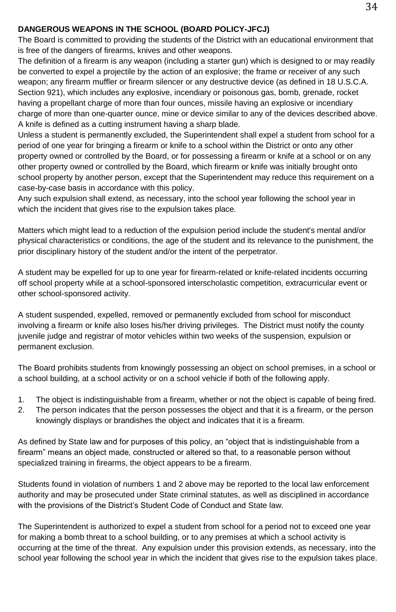#### **DANGEROUS WEAPONS IN THE SCHOOL (BOARD POLICY-JFCJ)**

The Board is committed to providing the students of the District with an educational environment that is free of the dangers of firearms, knives and other weapons.

The definition of a firearm is any weapon (including a starter gun) which is designed to or may readily be converted to expel a projectile by the action of an explosive; the frame or receiver of any such weapon; any firearm muffler or firearm silencer or any destructive device (as defined in 18 U.S.C.A. Section 921), which includes any explosive, incendiary or poisonous gas, bomb, grenade, rocket having a propellant charge of more than four ounces, missile having an explosive or incendiary charge of more than one-quarter ounce, mine or device similar to any of the devices described above. A knife is defined as a cutting instrument having a sharp blade.

Unless a student is permanently excluded, the Superintendent shall expel a student from school for a period of one year for bringing a firearm or knife to a school within the District or onto any other property owned or controlled by the Board, or for possessing a firearm or knife at a school or on any other property owned or controlled by the Board, which firearm or knife was initially brought onto school property by another person, except that the Superintendent may reduce this requirement on a case-by-case basis in accordance with this policy.

Any such expulsion shall extend, as necessary, into the school year following the school year in which the incident that gives rise to the expulsion takes place.

Matters which might lead to a reduction of the expulsion period include the student's mental and/or physical characteristics or conditions, the age of the student and its relevance to the punishment, the prior disciplinary history of the student and/or the intent of the perpetrator.

A student may be expelled for up to one year for firearm-related or knife-related incidents occurring off school property while at a school-sponsored interscholastic competition, extracurricular event or other school-sponsored activity.

A student suspended, expelled, removed or permanently excluded from school for misconduct involving a firearm or knife also loses his/her driving privileges. The District must notify the county juvenile judge and registrar of motor vehicles within two weeks of the suspension, expulsion or permanent exclusion.

The Board prohibits students from knowingly possessing an object on school premises, in a school or a school building, at a school activity or on a school vehicle if both of the following apply.

- 1. The object is indistinguishable from a firearm, whether or not the object is capable of being fired.
- 2. The person indicates that the person possesses the object and that it is a firearm, or the person knowingly displays or brandishes the object and indicates that it is a firearm.

As defined by State law and for purposes of this policy, an "object that is indistinguishable from a firearm" means an object made, constructed or altered so that, to a reasonable person without specialized training in firearms, the object appears to be a firearm.

Students found in violation of numbers 1 and 2 above may be reported to the local law enforcement authority and may be prosecuted under State criminal statutes, as well as disciplined in accordance with the provisions of the District's Student Code of Conduct and State law.

The Superintendent is authorized to expel a student from school for a period not to exceed one year for making a bomb threat to a school building, or to any premises at which a school activity is occurring at the time of the threat. Any expulsion under this provision extends, as necessary, into the school year following the school year in which the incident that gives rise to the expulsion takes place.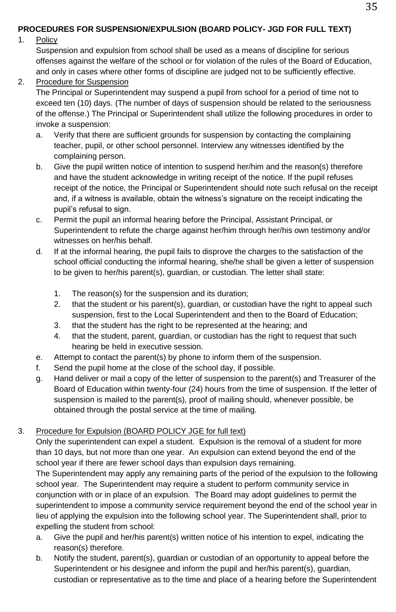# **PROCEDURES FOR SUSPENSION/EXPULSION (BOARD POLICY- JGD FOR FULL TEXT)**

#### 1. Policy

Suspension and expulsion from school shall be used as a means of discipline for serious offenses against the welfare of the school or for violation of the rules of the Board of Education, and only in cases where other forms of discipline are judged not to be sufficiently effective.

2. Procedure for Suspension

The Principal or Superintendent may suspend a pupil from school for a period of time not to exceed ten (10) days. (The number of days of suspension should be related to the seriousness of the offense.) The Principal or Superintendent shall utilize the following procedures in order to invoke a suspension:

- a. Verify that there are sufficient grounds for suspension by contacting the complaining teacher, pupil, or other school personnel. Interview any witnesses identified by the complaining person.
- b. Give the pupil written notice of intention to suspend her/him and the reason(s) therefore and have the student acknowledge in writing receipt of the notice. If the pupil refuses receipt of the notice, the Principal or Superintendent should note such refusal on the receipt and, if a witness is available, obtain the witness's signature on the receipt indicating the pupil's refusal to sign.
- c. Permit the pupil an informal hearing before the Principal, Assistant Principal, or Superintendent to refute the charge against her/him through her/his own testimony and/or witnesses on her/his behalf.
- d. If at the informal hearing, the pupil fails to disprove the charges to the satisfaction of the school official conducting the informal hearing, she/he shall be given a letter of suspension to be given to her/his parent(s), guardian, or custodian. The letter shall state:
	- 1. The reason(s) for the suspension and its duration;
	- 2. that the student or his parent(s), guardian, or custodian have the right to appeal such suspension, first to the Local Superintendent and then to the Board of Education;
	- 3. that the student has the right to be represented at the hearing; and
	- 4. that the student, parent, guardian, or custodian has the right to request that such hearing be held in executive session.
- e. Attempt to contact the parent(s) by phone to inform them of the suspension.
- f. Send the pupil home at the close of the school day, if possible.
- g. Hand deliver or mail a copy of the letter of suspension to the parent(s) and Treasurer of the Board of Education within twenty-four (24) hours from the time of suspension. If the letter of suspension is mailed to the parent(s), proof of mailing should, whenever possible, be obtained through the postal service at the time of mailing.

#### 3. Procedure for Expulsion (BOARD POLICY JGE for full text)

Only the superintendent can expel a student. Expulsion is the removal of a student for more than 10 days, but not more than one year. An expulsion can extend beyond the end of the school year if there are fewer school days than expulsion days remaining.

The Superintendent may apply any remaining parts of the period of the expulsion to the following school year. The Superintendent may require a student to perform community service in conjunction with or in place of an expulsion. The Board may adopt guidelines to permit the superintendent to impose a community service requirement beyond the end of the school year in lieu of applying the expulsion into the following school year. The Superintendent shall, prior to expelling the student from school:

- a. Give the pupil and her/his parent(s) written notice of his intention to expel, indicating the reason(s) therefore.
- b. Notify the student, parent(s), guardian or custodian of an opportunity to appeal before the Superintendent or his designee and inform the pupil and her/his parent(s), guardian, custodian or representative as to the time and place of a hearing before the Superintendent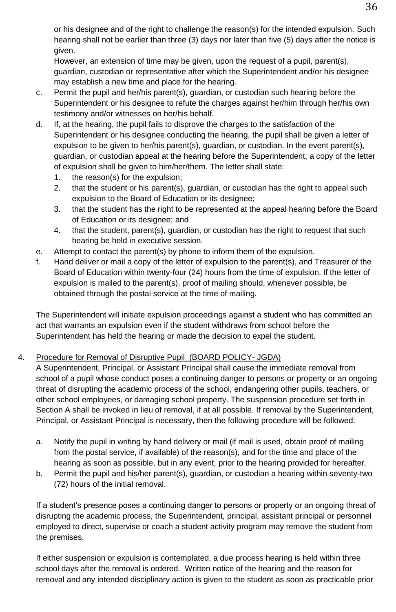or his designee and of the right to challenge the reason(s) for the intended expulsion. Such hearing shall not be earlier than three (3) days nor later than five (5) days after the notice is given.

However, an extension of time may be given, upon the request of a pupil, parent(s), guardian, custodian or representative after which the Superintendent and/or his designee may establish a new time and place for the hearing.

- c. Permit the pupil and her/his parent(s), guardian, or custodian such hearing before the Superintendent or his designee to refute the charges against her/him through her/his own testimony and/or witnesses on her/his behalf.
- d. If, at the hearing, the pupil fails to disprove the charges to the satisfaction of the Superintendent or his designee conducting the hearing, the pupil shall be given a letter of expulsion to be given to her/his parent(s), guardian, or custodian. In the event parent(s), guardian, or custodian appeal at the hearing before the Superintendent, a copy of the letter of expulsion shall be given to him/her/them. The letter shall state:
	- 1. the reason(s) for the expulsion;
	- 2. that the student or his parent(s), guardian, or custodian has the right to appeal such expulsion to the Board of Education or its designee;
	- 3. that the student has the right to be represented at the appeal hearing before the Board of Education or its designee; and
	- 4. that the student, parent(s), guardian, or custodian has the right to request that such hearing be held in executive session.
- e. Attempt to contact the parent(s) by phone to inform them of the expulsion.
- f. Hand deliver or mail a copy of the letter of expulsion to the parent(s), and Treasurer of the Board of Education within twenty-four (24) hours from the time of expulsion. If the letter of expulsion is mailed to the parent(s), proof of mailing should, whenever possible, be obtained through the postal service at the time of mailing.

The Superintendent will initiate expulsion proceedings against a student who has committed an act that warrants an expulsion even if the student withdraws from school before the Superintendent has held the hearing or made the decision to expel the student.

# 4. Procedure for Removal of Disruptive Pupil (BOARD POLICY- JGDA)

A Superintendent, Principal, or Assistant Principal shall cause the immediate removal from school of a pupil whose conduct poses a continuing danger to persons or property or an ongoing threat of disrupting the academic process of the school, endangering other pupils, teachers, or other school employees, or damaging school property. The suspension procedure set forth in Section A shall be invoked in lieu of removal, if at all possible. If removal by the Superintendent, Principal, or Assistant Principal is necessary, then the following procedure will be followed:

- a. Notify the pupil in writing by hand delivery or mail (if mail is used, obtain proof of mailing from the postal service, if available) of the reason(s), and for the time and place of the hearing as soon as possible, but in any event, prior to the hearing provided for hereafter.
- b. Permit the pupil and his/her parent(s), guardian, or custodian a hearing within seventy-two (72) hours of the initial removal.

If a student's presence poses a continuing danger to persons or property or an ongoing threat of disrupting the academic process, the Superintendent, principal, assistant principal or personnel employed to direct, supervise or coach a student activity program may remove the student from the premises.

If either suspension or expulsion is contemplated, a due process hearing is held within three school days after the removal is ordered. Written notice of the hearing and the reason for removal and any intended disciplinary action is given to the student as soon as practicable prior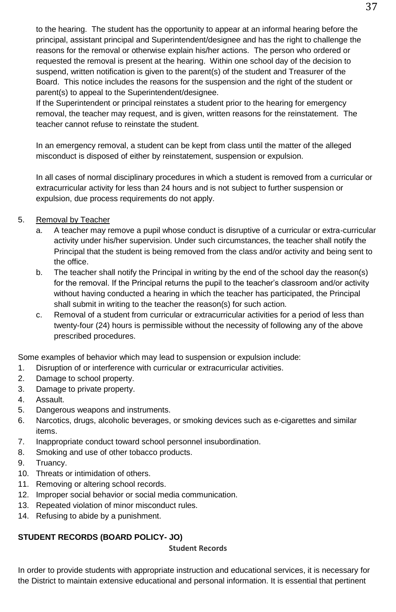to the hearing. The student has the opportunity to appear at an informal hearing before the principal, assistant principal and Superintendent/designee and has the right to challenge the reasons for the removal or otherwise explain his/her actions. The person who ordered or requested the removal is present at the hearing. Within one school day of the decision to suspend, written notification is given to the parent(s) of the student and Treasurer of the Board. This notice includes the reasons for the suspension and the right of the student or parent(s) to appeal to the Superintendent/designee.

If the Superintendent or principal reinstates a student prior to the hearing for emergency removal, the teacher may request, and is given, written reasons for the reinstatement. The teacher cannot refuse to reinstate the student.

In an emergency removal, a student can be kept from class until the matter of the alleged misconduct is disposed of either by reinstatement, suspension or expulsion.

In all cases of normal disciplinary procedures in which a student is removed from a curricular or extracurricular activity for less than 24 hours and is not subject to further suspension or expulsion, due process requirements do not apply.

- 5. Removal by Teacher
	- a. A teacher may remove a pupil whose conduct is disruptive of a curricular or extra-curricular activity under his/her supervision. Under such circumstances, the teacher shall notify the Principal that the student is being removed from the class and/or activity and being sent to the office.
	- b. The teacher shall notify the Principal in writing by the end of the school day the reason(s) for the removal. If the Principal returns the pupil to the teacher's classroom and/or activity without having conducted a hearing in which the teacher has participated, the Principal shall submit in writing to the teacher the reason(s) for such action.
	- c. Removal of a student from curricular or extracurricular activities for a period of less than twenty-four (24) hours is permissible without the necessity of following any of the above prescribed procedures.

Some examples of behavior which may lead to suspension or expulsion include:

- 1. Disruption of or interference with curricular or extracurricular activities.
- 2. Damage to school property.
- 3. Damage to private property.
- 4. Assault.
- 5. Dangerous weapons and instruments.
- 6. Narcotics, drugs, alcoholic beverages, or smoking devices such as e-cigarettes and similar items.
- 7. Inappropriate conduct toward school personnel insubordination.
- 8. Smoking and use of other tobacco products.
- 9. Truancy.
- 10. Threats or intimidation of others.
- 11. Removing or altering school records.
- 12. Improper social behavior or social media communication.
- 13. Repeated violation of minor misconduct rules.
- 14. Refusing to abide by a punishment.

#### **STUDENT RECORDS (BOARD POLICY- JO)**

**Student Records**

In order to provide students with appropriate instruction and educational services, it is necessary for the District to maintain extensive educational and personal information. It is essential that pertinent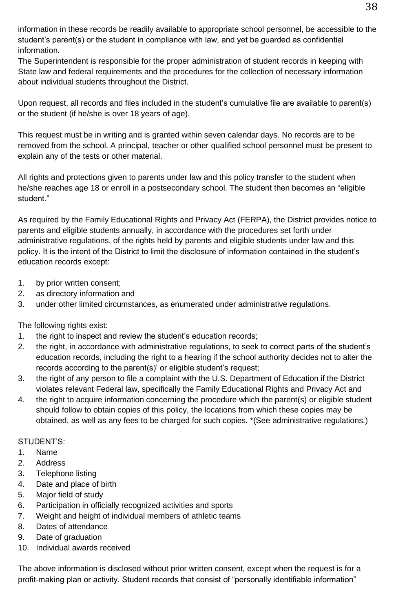information in these records be readily available to appropriate school personnel, be accessible to the student's parent(s) or the student in compliance with law, and yet be guarded as confidential information.

The Superintendent is responsible for the proper administration of student records in keeping with State law and federal requirements and the procedures for the collection of necessary information about individual students throughout the District.

Upon request, all records and files included in the student's cumulative file are available to parent(s) or the student (if he/she is over 18 years of age).

This request must be in writing and is granted within seven calendar days. No records are to be removed from the school. A principal, teacher or other qualified school personnel must be present to explain any of the tests or other material.

All rights and protections given to parents under law and this policy transfer to the student when he/she reaches age 18 or enroll in a postsecondary school. The student then becomes an "eligible student."

As required by the Family Educational Rights and Privacy Act (FERPA), the District provides notice to parents and eligible students annually, in accordance with the procedures set forth under administrative regulations, of the rights held by parents and eligible students under law and this policy. It is the intent of the District to limit the disclosure of information contained in the student's education records except:

- 1. by prior written consent;
- 2. as directory information and
- 3. under other limited circumstances, as enumerated under administrative regulations.

The following rights exist:

- 1. the right to inspect and review the student's education records:
- 2. the right, in accordance with administrative regulations, to seek to correct parts of the student's education records, including the right to a hearing if the school authority decides not to alter the records according to the parent(s)' or eligible student's request;
- 3. the right of any person to file a complaint with the U.S. Department of Education if the District violates relevant Federal law, specifically the Family Educational Rights and Privacy Act and
- 4. the right to acquire information concerning the procedure which the parent(s) or eligible student should follow to obtain copies of this policy, the locations from which these copies may be obtained, as well as any fees to be charged for such copies. \*(See administrative regulations.)

# STUDENT'S:

- 1. Name
- 2. Address
- 3. Telephone listing
- 4. Date and place of birth
- 5. Major field of study
- 6. Participation in officially recognized activities and sports
- 7. Weight and height of individual members of athletic teams
- 8. Dates of attendance
- 9. Date of graduation
- 10. Individual awards received

The above information is disclosed without prior written consent, except when the request is for a profit-making plan or activity. Student records that consist of "personally identifiable information"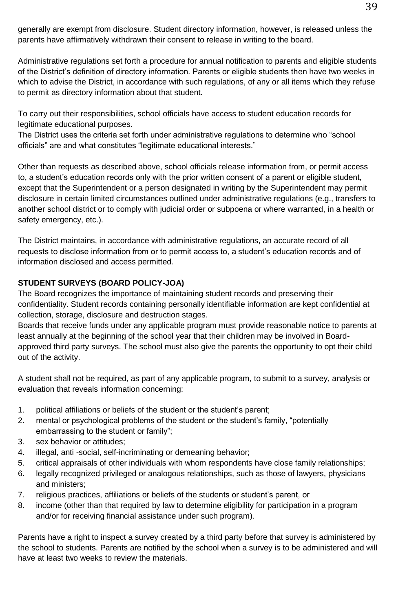generally are exempt from disclosure. Student directory information, however, is released unless the parents have affirmatively withdrawn their consent to release in writing to the board.

Administrative regulations set forth a procedure for annual notification to parents and eligible students of the District's definition of directory information. Parents or eligible students then have two weeks in which to advise the District, in accordance with such regulations, of any or all items which they refuse to permit as directory information about that student.

To carry out their responsibilities, school officials have access to student education records for legitimate educational purposes.

The District uses the criteria set forth under administrative regulations to determine who "school officials" are and what constitutes "legitimate educational interests."

Other than requests as described above, school officials release information from, or permit access to, a student's education records only with the prior written consent of a parent or eligible student, except that the Superintendent or a person designated in writing by the Superintendent may permit disclosure in certain limited circumstances outlined under administrative regulations (e.g., transfers to another school district or to comply with judicial order or subpoena or where warranted, in a health or safety emergency, etc.).

The District maintains, in accordance with administrative regulations, an accurate record of all requests to disclose information from or to permit access to, a student's education records and of information disclosed and access permitted.

# **STUDENT SURVEYS (BOARD POLICY-JOA)**

The Board recognizes the importance of maintaining student records and preserving their confidentiality. Student records containing personally identifiable information are kept confidential at collection, storage, disclosure and destruction stages.

Boards that receive funds under any applicable program must provide reasonable notice to parents at least annually at the beginning of the school year that their children may be involved in Boardapproved third party surveys. The school must also give the parents the opportunity to opt their child out of the activity.

A student shall not be required, as part of any applicable program, to submit to a survey, analysis or evaluation that reveals information concerning:

- 1. political affiliations or beliefs of the student or the student's parent;
- 2. mental or psychological problems of the student or the student's family, "potentially embarrassing to the student or family";
- 3. sex behavior or attitudes;
- 4. illegal, anti -social, self-incriminating or demeaning behavior;
- 5. critical appraisals of other individuals with whom respondents have close family relationships;
- 6. legally recognized privileged or analogous relationships, such as those of lawyers, physicians and ministers;
- 7. religious practices, affiliations or beliefs of the students or student's parent, or
- 8. income (other than that required by law to determine eligibility for participation in a program and/or for receiving financial assistance under such program).

Parents have a right to inspect a survey created by a third party before that survey is administered by the school to students. Parents are notified by the school when a survey is to be administered and will have at least two weeks to review the materials.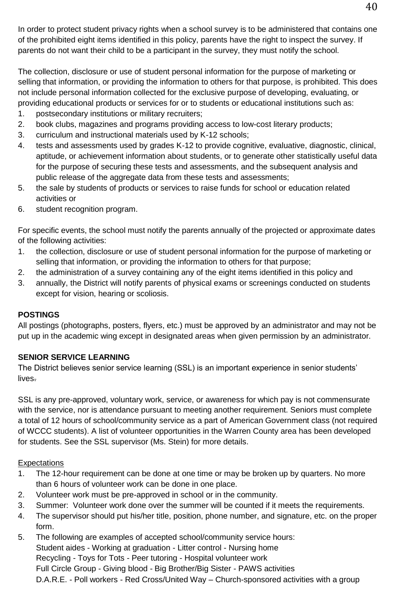In order to protect student privacy rights when a school survey is to be administered that contains one of the prohibited eight items identified in this policy, parents have the right to inspect the survey. If parents do not want their child to be a participant in the survey, they must notify the school.

The collection, disclosure or use of student personal information for the purpose of marketing or selling that information, or providing the information to others for that purpose, is prohibited. This does not include personal information collected for the exclusive purpose of developing, evaluating, or providing educational products or services for or to students or educational institutions such as:

- 1. postsecondary institutions or military recruiters;
- 2. book clubs, magazines and programs providing access to low-cost literary products;
- 3. curriculum and instructional materials used by K-12 schools;
- 4. tests and assessments used by grades K-12 to provide cognitive, evaluative, diagnostic, clinical, aptitude, or achievement information about students, or to generate other statistically useful data for the purpose of securing these tests and assessments, and the subsequent analysis and public release of the aggregate data from these tests and assessments;
- 5. the sale by students of products or services to raise funds for school or education related activities or
- 6. student recognition program.

For specific events, the school must notify the parents annually of the projected or approximate dates of the following activities:

- 1. the collection, disclosure or use of student personal information for the purpose of marketing or selling that information, or providing the information to others for that purpose;
- 2. the administration of a survey containing any of the eight items identified in this policy and
- 3. annually, the District will notify parents of physical exams or screenings conducted on students except for vision, hearing or scoliosis.

# **POSTINGS**

All postings (photographs, posters, flyers, etc.) must be approved by an administrator and may not be put up in the academic wing except in designated areas when given permission by an administrator.

# **SENIOR SERVICE LEARNING**

The District believes senior service learning (SSL) is an important experience in senior students' lives.

SSL is any pre-approved, voluntary work, service, or awareness for which pay is not commensurate with the service, nor is attendance pursuant to meeting another requirement. Seniors must complete a total of 12 hours of school/community service as a part of American Government class (not required of WCCC students). A list of volunteer opportunities in the Warren County area has been developed for students. See the SSL supervisor (Ms. Stein) for more details.

# Expectations

- 1. The 12-hour requirement can be done at one time or may be broken up by quarters. No more than 6 hours of volunteer work can be done in one place.
- 2. Volunteer work must be pre-approved in school or in the community.
- 3. Summer: Volunteer work done over the summer will be counted if it meets the requirements.
- 4. The supervisor should put his/her title, position, phone number, and signature, etc. on the proper form.
- 5. The following are examples of accepted school/community service hours: Student aides - Working at graduation - Litter control - Nursing home Recycling - Toys for Tots - Peer tutoring - Hospital volunteer work Full Circle Group - Giving blood - Big Brother/Big Sister - PAWS activities D.A.R.E. - Poll workers - Red Cross/United Way – Church-sponsored activities with a group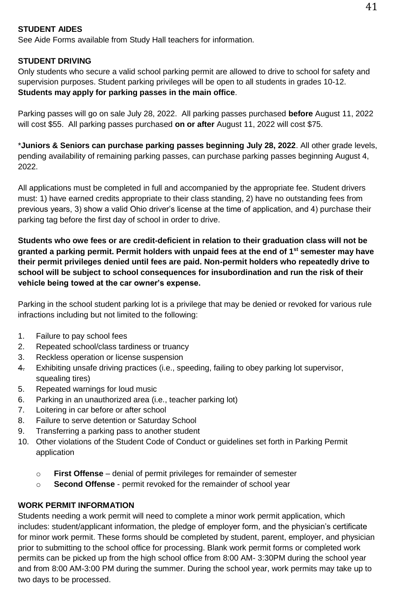#### **STUDENT AIDES**

See Aide Forms available from Study Hall teachers for information.

#### **STUDENT DRIVING**

Only students who secure a valid school parking permit are allowed to drive to school for safety and supervision purposes. Student parking privileges will be open to all students in grades 10-12. **Students may apply for parking passes in the main office**.

Parking passes will go on sale July 28, 2022. All parking passes purchased **before** August 11, 2022 will cost \$55. All parking passes purchased **on or after** August 11, 2022 will cost \$75.

\***Juniors & Seniors can purchase parking passes beginning July 28, 2022**. All other grade levels, pending availability of remaining parking passes, can purchase parking passes beginning August 4, 2022.

All applications must be completed in full and accompanied by the appropriate fee. Student drivers must: 1) have earned credits appropriate to their class standing, 2) have no outstanding fees from previous years, 3) show a valid Ohio driver's license at the time of application, and 4) purchase their parking tag before the first day of school in order to drive.

**Students who owe fees or are credit-deficient in relation to their graduation class will not be granted a parking permit. Permit holders with unpaid fees at the end of 1st semester may have their permit privileges denied until fees are paid. Non-permit holders who repeatedly drive to school will be subject to school consequences for insubordination and run the risk of their vehicle being towed at the car owner's expense.** 

Parking in the school student parking lot is a privilege that may be denied or revoked for various rule infractions including but not limited to the following:

- 1. Failure to pay school fees
- 2. Repeated school/class tardiness or truancy
- 3. Reckless operation or license suspension
- 4. Exhibiting unsafe driving practices (i.e., speeding, failing to obey parking lot supervisor, squealing tires)
- 5. Repeated warnings for loud music
- 6. Parking in an unauthorized area (i.e., teacher parking lot)
- 7. Loitering in car before or after school
- 8. Failure to serve detention or Saturday School
- 9. Transferring a parking pass to another student
- 10. Other violations of the Student Code of Conduct or guidelines set forth in Parking Permit application
	- o **First Offense** denial of permit privileges for remainder of semester
	- o **Second Offense** permit revoked for the remainder of school year

#### **WORK PERMIT INFORMATION**

Students needing a work permit will need to complete a minor work permit application, which includes: student/applicant information, the pledge of employer form, and the physician's certificate for minor work permit. These forms should be completed by student, parent, employer, and physician prior to submitting to the school office for processing. Blank work permit forms or completed work permits can be picked up from the high school office from 8:00 AM- 3:30PM during the school year and from 8:00 AM-3:00 PM during the summer. During the school year, work permits may take up to two days to be processed.